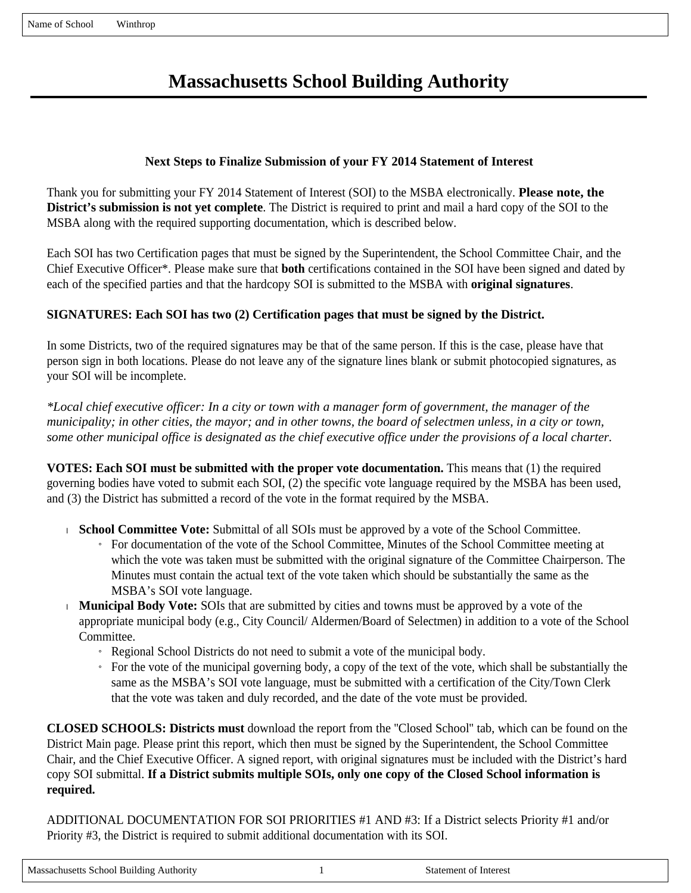# **Massachusetts School Building Authority**

# **Next Steps to Finalize Submission of your FY 2014 Statement of Interest**

Thank you for submitting your FY 2014 Statement of Interest (SOI) to the MSBA electronically. **Please note, the District's submission is not yet complete**. The District is required to print and mail a hard copy of the SOI to the MSBA along with the required supporting documentation, which is described below.

Each SOI has two Certification pages that must be signed by the Superintendent, the School Committee Chair, and the Chief Executive Officer\*. Please make sure that **both** certifications contained in the SOI have been signed and dated by each of the specified parties and that the hardcopy SOI is submitted to the MSBA with **original signatures**.

# **SIGNATURES: Each SOI has two (2) Certification pages that must be signed by the District.**

In some Districts, two of the required signatures may be that of the same person. If this is the case, please have that person sign in both locations. Please do not leave any of the signature lines blank or submit photocopied signatures, as your SOI will be incomplete.

*\*Local chief executive officer: In a city or town with a manager form of government, the manager of the municipality; in other cities, the mayor; and in other towns, the board of selectmen unless, in a city or town, some other municipal office is designated as the chief executive office under the provisions of a local charter.*

**VOTES: Each SOI must be submitted with the proper vote documentation.** This means that (1) the required governing bodies have voted to submit each SOI, (2) the specific vote language required by the MSBA has been used, and (3) the District has submitted a record of the vote in the format required by the MSBA.

- **School Committee Vote:** Submittal of all SOIs must be approved by a vote of the School Committee.
	- » For documentation of the vote of the School Committee, Minutes of the School Committee meeting at which the vote was taken must be submitted with the original signature of the Committee Chairperson. The Minutes must contain the actual text of the vote taken which should be substantially the same as the MSBA's SOI vote language.
- **Municipal Body Vote:** SOIs that are submitted by cities and towns must be approved by a vote of the appropriate municipal body (e.g., City Council/ Aldermen/Board of Selectmen) in addition to a vote of the School Committee.
	- » Regional School Districts do not need to submit a vote of the municipal body.
	- » For the vote of the municipal governing body, a copy of the text of the vote, which shall be substantially the same as the MSBA's SOI vote language, must be submitted with a certification of the City/Town Clerk that the vote was taken and duly recorded, and the date of the vote must be provided.

**CLOSED SCHOOLS: Districts must** download the report from the ''Closed School'' tab, which can be found on the District Main page. Please print this report, which then must be signed by the Superintendent, the School Committee Chair, and the Chief Executive Officer. A signed report, with original signatures must be included with the District's hard copy SOI submittal. **If a District submits multiple SOIs, only one copy of the Closed School information is required.**

ADDITIONAL DOCUMENTATION FOR SOI PRIORITIES #1 AND #3: If a District selects Priority #1 and/or Priority #3, the District is required to submit additional documentation with its SOI.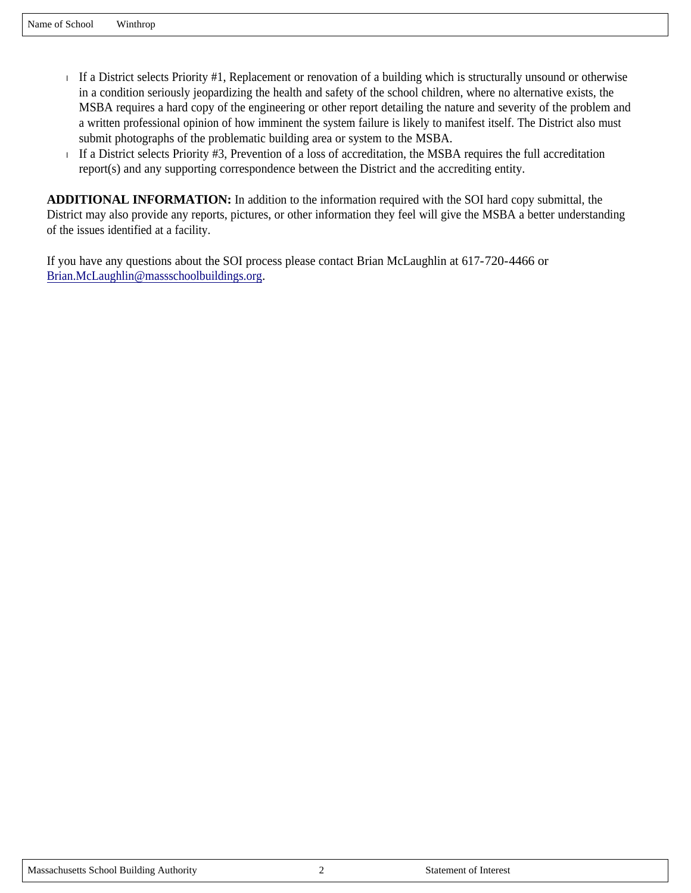- If a District selects Priority  $#1$ , Replacement or renovation of a building which is structurally unsound or otherwise in a condition seriously jeopardizing the health and safety of the school children, where no alternative exists, the MSBA requires a hard copy of the engineering or other report detailing the nature and severity of the problem and a written professional opinion of how imminent the system failure is likely to manifest itself. The District also must submit photographs of the problematic building area or system to the MSBA.
- If a District selects Priority  $#3$ , Prevention of a loss of accreditation, the MSBA requires the full accreditation report(s) and any supporting correspondence between the District and the accrediting entity.

**ADDITIONAL INFORMATION:** In addition to the information required with the SOI hard copy submittal, the District may also provide any reports, pictures, or other information they feel will give the MSBA a better understanding of the issues identified at a facility.

If you have any questions about the SOI process please contact Brian McLaughlin at 617-720-4466 or Brian.McLaughlin@massschoolbuildings.org.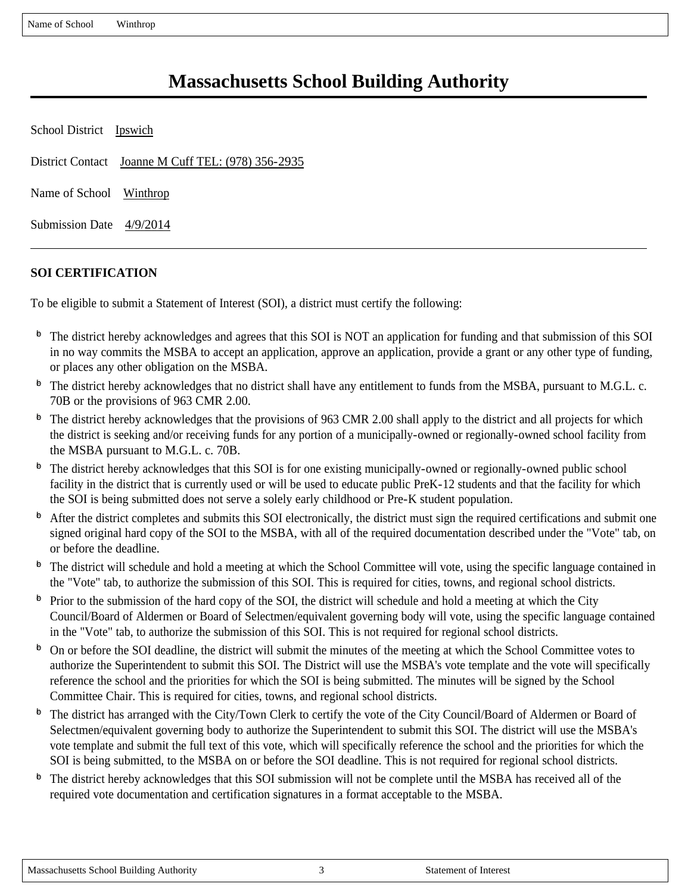Name of School Winthrop

# **Massachusetts School Building Authority**

| School District Ipswich    |                                                    |
|----------------------------|----------------------------------------------------|
|                            | District Contact Joanne M Cuff TEL: (978) 356-2935 |
| Name of School Winthrop    |                                                    |
| Submission Date $4/9/2014$ |                                                    |

# **SOI CERTIFICATION**

To be eligible to submit a Statement of Interest (SOI), a district must certify the following:

- $\overline{P}$  The district hereby acknowledges and agrees that this SOI is NOT an application for funding and that submission of this SOI in no way commits the MSBA to accept an application, approve an application, provide a grant or any other type of funding, or places any other obligation on the MSBA.
- $\Phi$  The district hereby acknowledges that no district shall have any entitlement to funds from the MSBA, pursuant to M.G.L. c. 70B or the provisions of 963 CMR 2.00.
- $\Phi$  The district hereby acknowledges that the provisions of 963 CMR 2.00 shall apply to the district and all projects for which the district is seeking and/or receiving funds for any portion of a municipally-owned or regionally-owned school facility from the MSBA pursuant to M.G.L. c. 70B.
- $\Phi$  The district hereby acknowledges that this SOI is for one existing municipally-owned or regionally-owned public school facility in the district that is currently used or will be used to educate public PreK-12 students and that the facility for which the SOI is being submitted does not serve a solely early childhood or Pre-K student population.
- $\Phi$  After the district completes and submits this SOI electronically, the district must sign the required certifications and submit one signed original hard copy of the SOI to the MSBA, with all of the required documentation described under the "Vote" tab, on or before the deadline.
- <sup>6</sup> The district will schedule and hold a meeting at which the School Committee will vote, using the specific language contained in the "Vote" tab, to authorize the submission of this SOI. This is required for cities, towns, and regional school districts.
- $\Phi$  Prior to the submission of the hard copy of the SOI, the district will schedule and hold a meeting at which the City Council/Board of Aldermen or Board of Selectmen/equivalent governing body will vote, using the specific language contained in the "Vote" tab, to authorize the submission of this SOI. This is not required for regional school districts.
- $\overline{P}$  On or before the SOI deadline, the district will submit the minutes of the meeting at which the School Committee votes to authorize the Superintendent to submit this SOI. The District will use the MSBA's vote template and the vote will specifically reference the school and the priorities for which the SOI is being submitted. The minutes will be signed by the School Committee Chair. This is required for cities, towns, and regional school districts.
- $\Phi$  The district has arranged with the City/Town Clerk to certify the vote of the City Council/Board of Aldermen or Board of Selectmen/equivalent governing body to authorize the Superintendent to submit this SOI. The district will use the MSBA's vote template and submit the full text of this vote, which will specifically reference the school and the priorities for which the SOI is being submitted, to the MSBA on or before the SOI deadline. This is not required for regional school districts.
- $\overline{p}$  The district hereby acknowledges that this SOI submission will not be complete until the MSBA has received all of the required vote documentation and certification signatures in a format acceptable to the MSBA.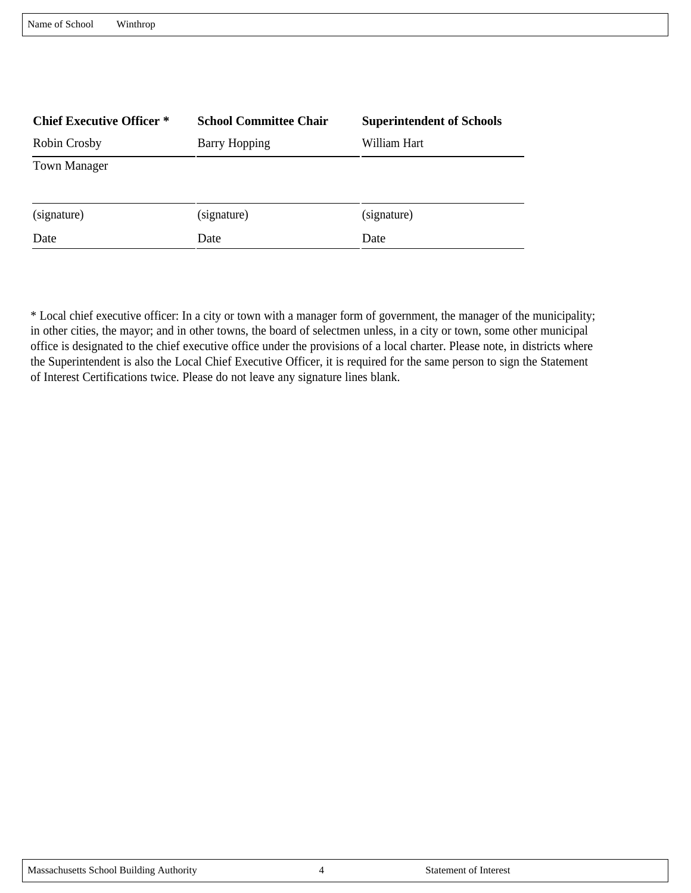| Name of School | Winthrop |
|----------------|----------|
|                |          |

| <b>Chief Executive Officer *</b> | <b>School Committee Chair</b> | <b>Superintendent of Schools</b> |
|----------------------------------|-------------------------------|----------------------------------|
| Robin Crosby                     | <b>Barry Hopping</b>          | William Hart                     |
| <b>Town Manager</b>              |                               |                                  |
| (signature)                      | (signature)                   | (signature)                      |
| Date                             | Date                          | Date                             |

\* Local chief executive officer: In a city or town with a manager form of government, the manager of the municipality; in other cities, the mayor; and in other towns, the board of selectmen unless, in a city or town, some other municipal office is designated to the chief executive office under the provisions of a local charter. Please note, in districts where the Superintendent is also the Local Chief Executive Officer, it is required for the same person to sign the Statement of Interest Certifications twice. Please do not leave any signature lines blank.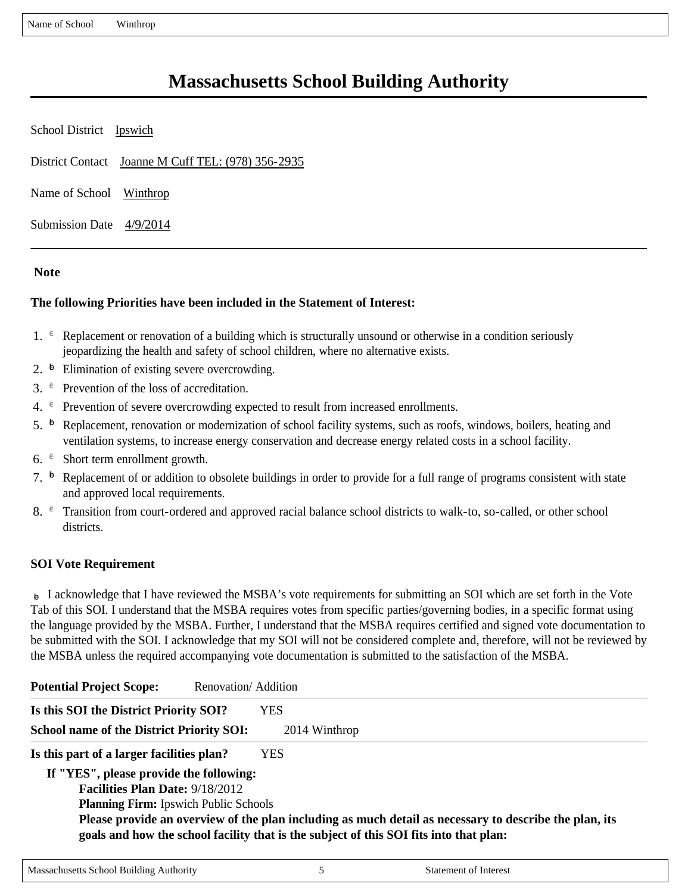Name of School Winthrop

# **Massachusetts School Building Authority**

| School District Ipswich  |                                                    |
|--------------------------|----------------------------------------------------|
|                          | District Contact Joanne M Cuff TEL: (978) 356-2935 |
| Name of School Winthrop  |                                                    |
| Submission Date 4/9/2014 |                                                    |

#### **Note**

#### **The following Priorities have been included in the Statement of Interest:**

- 1.  $\epsilon$  Replacement or renovation of a building which is structurally unsound or otherwise in a condition seriously jeopardizing the health and safety of school children, where no alternative exists.
- 2.  $\overline{p}$  Elimination of existing severe overcrowding.
- 3.  $e^{\theta}$  Prevention of the loss of accreditation.
- 4.  $e^{\epsilon}$  Prevention of severe overcrowding expected to result from increased enrollments.
- 5.  $\overline{p}$  Replacement, renovation or modernization of school facility systems, such as roofs, windows, boilers, heating and ventilation systems, to increase energy conservation and decrease energy related costs in a school facility.
- 6.  $\epsilon$  Short term enrollment growth.
- 7.  $\overline{P}$  Replacement of or addition to obsolete buildings in order to provide for a full range of programs consistent with state and approved local requirements.
- 8.  $\epsilon$  Transition from court-ordered and approved racial balance school districts to walk-to, so-called, or other school districts.

#### **SOI Vote Requirement**

 $\triangleright$  I acknowledge that I have reviewed the MSBA's vote requirements for submitting an SOI which are set forth in the Vote Tab of this SOI. I understand that the MSBA requires votes from specific parties/governing bodies, in a specific format using the language provided by the MSBA. Further, I understand that the MSBA requires certified and signed vote documentation to be submitted with the SOI. I acknowledge that my SOI will not be considered complete and, therefore, will not be reviewed by the MSBA unless the required accompanying vote documentation is submitted to the satisfaction of the MSBA.

| <b>Potential Project Scope:</b>                  | Renovation/Addition                                                                                                                                                                              |
|--------------------------------------------------|--------------------------------------------------------------------------------------------------------------------------------------------------------------------------------------------------|
| Is this SOI the District Priority SOI?           | <b>YES</b>                                                                                                                                                                                       |
| <b>School name of the District Priority SOI:</b> | 2014 Winthrop                                                                                                                                                                                    |
| Is this part of a larger facilities plan?        | YES.                                                                                                                                                                                             |
| If "YES", please provide the following:          |                                                                                                                                                                                                  |
| <b>Facilities Plan Date: 9/18/2012</b>           |                                                                                                                                                                                                  |
| <b>Planning Firm:</b> Ipswich Public Schools     |                                                                                                                                                                                                  |
|                                                  | Please provide an overview of the plan including as much detail as necessary to describe the plan, its<br>goals and how the school facility that is the subject of this SOI fits into that plan: |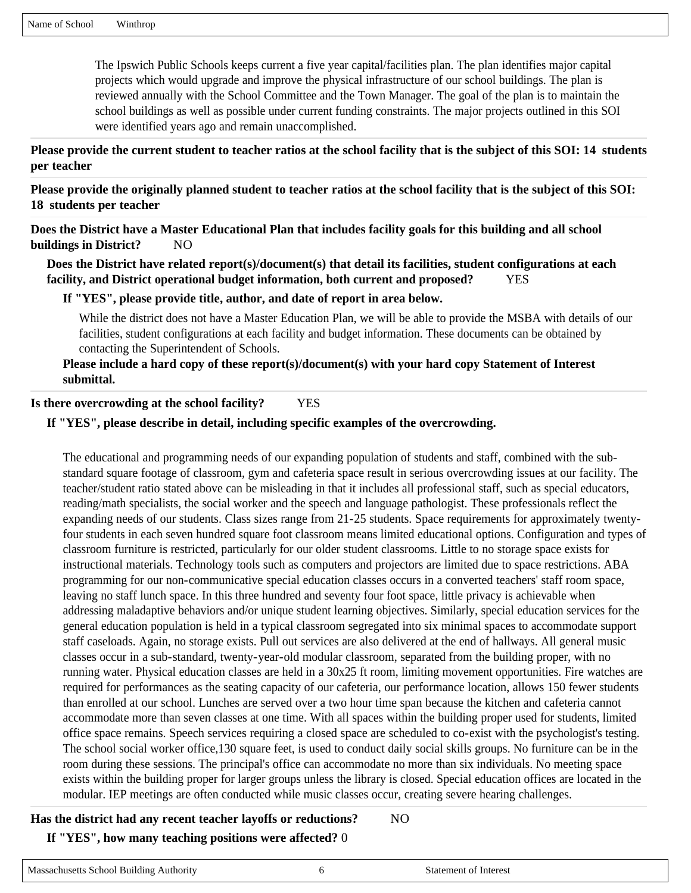The Ipswich Public Schools keeps current a five year capital/facilities plan. The plan identifies major capital projects which would upgrade and improve the physical infrastructure of our school buildings. The plan is reviewed annually with the School Committee and the Town Manager. The goal of the plan is to maintain the school buildings as well as possible under current funding constraints. The major projects outlined in this SOI were identified years ago and remain unaccomplished.

#### **Please provide the current student to teacher ratios at the school facility that is the subject of this SOI: 14 students per teacher**

**Please provide the originally planned student to teacher ratios at the school facility that is the subject of this SOI: 18 students per teacher**

**Does the District have a Master Educational Plan that includes facility goals for this building and all school buildings in District?** NO

**Does the District have related report(s)/document(s) that detail its facilities, student configurations at each facility, and District operational budget information, both current and proposed?** YES

#### **If "YES", please provide title, author, and date of report in area below.**

While the district does not have a Master Education Plan, we will be able to provide the MSBA with details of our facilities, student configurations at each facility and budget information. These documents can be obtained by contacting the Superintendent of Schools.

### **Please include a hard copy of these report(s)/document(s) with your hard copy Statement of Interest submittal.**

**Is there overcrowding at the school facility?** YES

#### **If "YES", please describe in detail, including specific examples of the overcrowding.**

The educational and programming needs of our expanding population of students and staff, combined with the substandard square footage of classroom, gym and cafeteria space result in serious overcrowding issues at our facility. The teacher/student ratio stated above can be misleading in that it includes all professional staff, such as special educators, reading/math specialists, the social worker and the speech and language pathologist. These professionals reflect the expanding needs of our students. Class sizes range from 21-25 students. Space requirements for approximately twentyfour students in each seven hundred square foot classroom means limited educational options. Configuration and types of classroom furniture is restricted, particularly for our older student classrooms. Little to no storage space exists for instructional materials. Technology tools such as computers and projectors are limited due to space restrictions. ABA programming for our non-communicative special education classes occurs in a converted teachers' staff room space, leaving no staff lunch space. In this three hundred and seventy four foot space, little privacy is achievable when addressing maladaptive behaviors and/or unique student learning objectives. Similarly, special education services for the general education population is held in a typical classroom segregated into six minimal spaces to accommodate support staff caseloads. Again, no storage exists. Pull out services are also delivered at the end of hallways. All general music classes occur in a sub-standard, twenty-year-old modular classroom, separated from the building proper, with no running water. Physical education classes are held in a 30x25 ft room, limiting movement opportunities. Fire watches are required for performances as the seating capacity of our cafeteria, our performance location, allows 150 fewer students than enrolled at our school. Lunches are served over a two hour time span because the kitchen and cafeteria cannot accommodate more than seven classes at one time. With all spaces within the building proper used for students, limited office space remains. Speech services requiring a closed space are scheduled to co-exist with the psychologist's testing. The school social worker office,130 square feet, is used to conduct daily social skills groups. No furniture can be in the room during these sessions. The principal's office can accommodate no more than six individuals. No meeting space exists within the building proper for larger groups unless the library is closed. Special education offices are located in the modular. IEP meetings are often conducted while music classes occur, creating severe hearing challenges.

# **Has the district had any recent teacher layoffs or reductions?** NO **If "YES", how many teaching positions were affected?** 0

# Massachusetts School Building Authority 6 6 Statement of Interest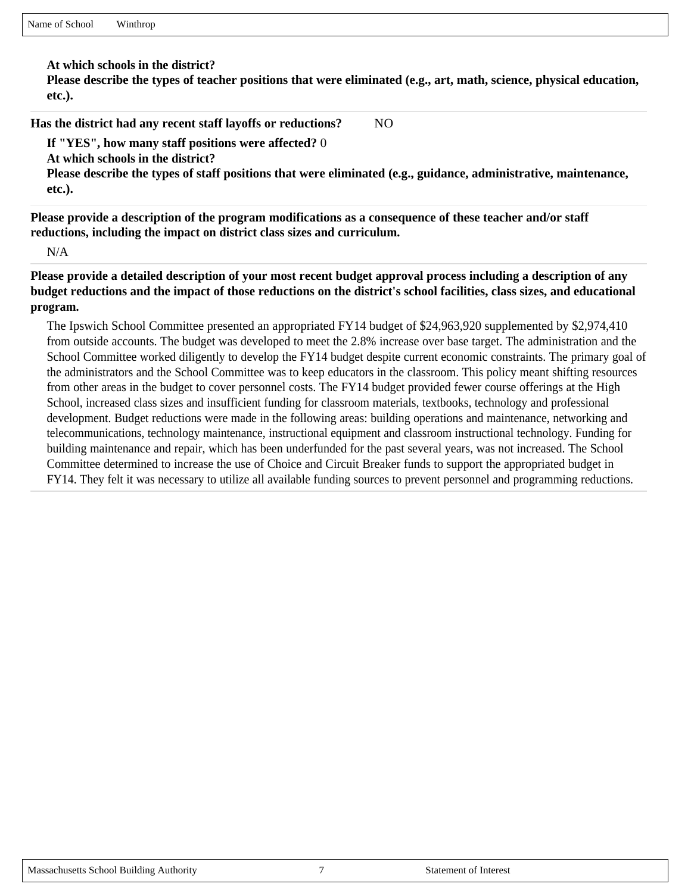**At which schools in the district?** 

**Please describe the types of teacher positions that were eliminated (e.g., art, math, science, physical education, etc.).** 

**Has the district had any recent staff layoffs or reductions?** NO

**If "YES", how many staff positions were affected?** 0

**At which schools in the district?** 

**Please describe the types of staff positions that were eliminated (e.g., guidance, administrative, maintenance, etc.).** 

**Please provide a description of the program modifications as a consequence of these teacher and/or staff reductions, including the impact on district class sizes and curriculum.**

N/A

**Please provide a detailed description of your most recent budget approval process including a description of any budget reductions and the impact of those reductions on the district's school facilities, class sizes, and educational program.**

The Ipswich School Committee presented an appropriated FY14 budget of \$24,963,920 supplemented by \$2,974,410 from outside accounts. The budget was developed to meet the 2.8% increase over base target. The administration and the School Committee worked diligently to develop the FY14 budget despite current economic constraints. The primary goal of the administrators and the School Committee was to keep educators in the classroom. This policy meant shifting resources from other areas in the budget to cover personnel costs. The FY14 budget provided fewer course offerings at the High School, increased class sizes and insufficient funding for classroom materials, textbooks, technology and professional development. Budget reductions were made in the following areas: building operations and maintenance, networking and telecommunications, technology maintenance, instructional equipment and classroom instructional technology. Funding for building maintenance and repair, which has been underfunded for the past several years, was not increased. The School Committee determined to increase the use of Choice and Circuit Breaker funds to support the appropriated budget in FY14. They felt it was necessary to utilize all available funding sources to prevent personnel and programming reductions.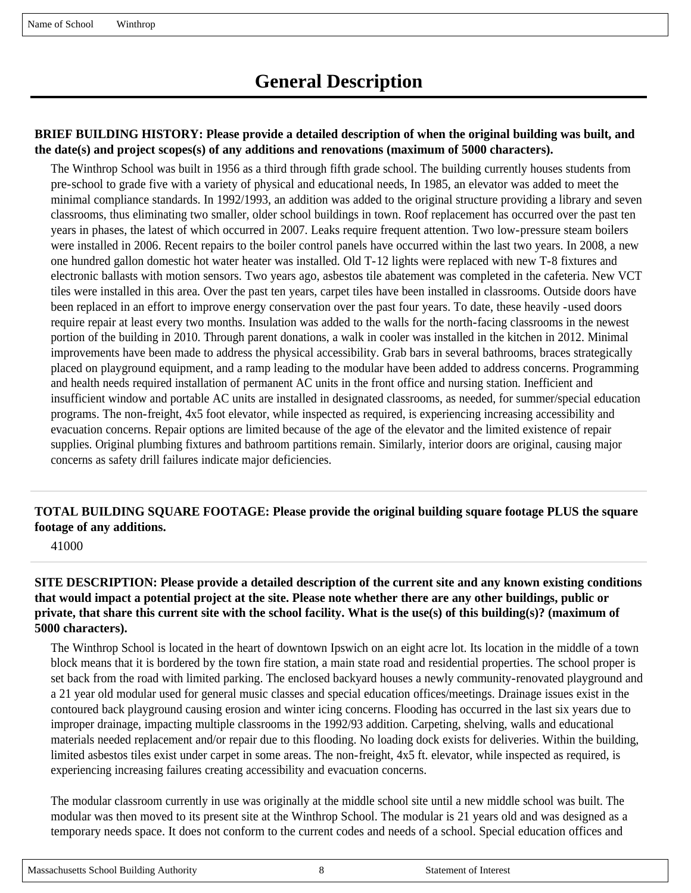# **BRIEF BUILDING HISTORY: Please provide a detailed description of when the original building was built, and the date(s) and project scopes(s) of any additions and renovations (maximum of 5000 characters).**

The Winthrop School was built in 1956 as a third through fifth grade school. The building currently houses students from pre-school to grade five with a variety of physical and educational needs, In 1985, an elevator was added to meet the minimal compliance standards. In 1992/1993, an addition was added to the original structure providing a library and seven classrooms, thus eliminating two smaller, older school buildings in town. Roof replacement has occurred over the past ten years in phases, the latest of which occurred in 2007. Leaks require frequent attention. Two low-pressure steam boilers were installed in 2006. Recent repairs to the boiler control panels have occurred within the last two years. In 2008, a new one hundred gallon domestic hot water heater was installed. Old T-12 lights were replaced with new T-8 fixtures and electronic ballasts with motion sensors. Two years ago, asbestos tile abatement was completed in the cafeteria. New VCT tiles were installed in this area. Over the past ten years, carpet tiles have been installed in classrooms. Outside doors have been replaced in an effort to improve energy conservation over the past four years. To date, these heavily -used doors require repair at least every two months. Insulation was added to the walls for the north-facing classrooms in the newest portion of the building in 2010. Through parent donations, a walk in cooler was installed in the kitchen in 2012. Minimal improvements have been made to address the physical accessibility. Grab bars in several bathrooms, braces strategically placed on playground equipment, and a ramp leading to the modular have been added to address concerns. Programming and health needs required installation of permanent AC units in the front office and nursing station. Inefficient and insufficient window and portable AC units are installed in designated classrooms, as needed, for summer/special education programs. The non-freight, 4x5 foot elevator, while inspected as required, is experiencing increasing accessibility and evacuation concerns. Repair options are limited because of the age of the elevator and the limited existence of repair supplies. Original plumbing fixtures and bathroom partitions remain. Similarly, interior doors are original, causing major concerns as safety drill failures indicate major deficiencies.

# **TOTAL BUILDING SQUARE FOOTAGE: Please provide the original building square footage PLUS the square footage of any additions.**

41000

### **SITE DESCRIPTION: Please provide a detailed description of the current site and any known existing conditions that would impact a potential project at the site. Please note whether there are any other buildings, public or private, that share this current site with the school facility. What is the use(s) of this building(s)? (maximum of 5000 characters).**

The Winthrop School is located in the heart of downtown Ipswich on an eight acre lot. Its location in the middle of a town block means that it is bordered by the town fire station, a main state road and residential properties. The school proper is set back from the road with limited parking. The enclosed backyard houses a newly community-renovated playground and a 21 year old modular used for general music classes and special education offices/meetings. Drainage issues exist in the contoured back playground causing erosion and winter icing concerns. Flooding has occurred in the last six years due to improper drainage, impacting multiple classrooms in the 1992/93 addition. Carpeting, shelving, walls and educational materials needed replacement and/or repair due to this flooding. No loading dock exists for deliveries. Within the building, limited asbestos tiles exist under carpet in some areas. The non-freight, 4x5 ft. elevator, while inspected as required, is experiencing increasing failures creating accessibility and evacuation concerns.

The modular classroom currently in use was originally at the middle school site until a new middle school was built. The modular was then moved to its present site at the Winthrop School. The modular is 21 years old and was designed as a temporary needs space. It does not conform to the current codes and needs of a school. Special education offices and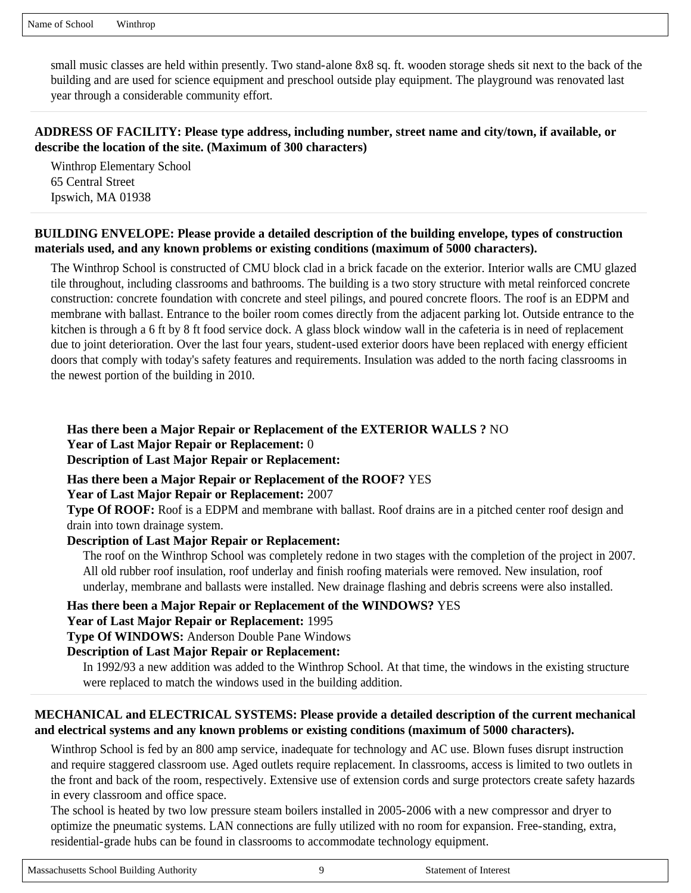small music classes are held within presently. Two stand-alone 8x8 sq. ft. wooden storage sheds sit next to the back of the building and are used for science equipment and preschool outside play equipment. The playground was renovated last year through a considerable community effort.

### **ADDRESS OF FACILITY: Please type address, including number, street name and city/town, if available, or describe the location of the site. (Maximum of 300 characters)**

Winthrop Elementary School 65 Central Street Ipswich, MA 01938

### **BUILDING ENVELOPE: Please provide a detailed description of the building envelope, types of construction materials used, and any known problems or existing conditions (maximum of 5000 characters).**

The Winthrop School is constructed of CMU block clad in a brick facade on the exterior. Interior walls are CMU glazed tile throughout, including classrooms and bathrooms. The building is a two story structure with metal reinforced concrete construction: concrete foundation with concrete and steel pilings, and poured concrete floors. The roof is an EDPM and membrane with ballast. Entrance to the boiler room comes directly from the adjacent parking lot. Outside entrance to the kitchen is through a 6 ft by 8 ft food service dock. A glass block window wall in the cafeteria is in need of replacement due to joint deterioration. Over the last four years, student-used exterior doors have been replaced with energy efficient doors that comply with today's safety features and requirements. Insulation was added to the north facing classrooms in the newest portion of the building in 2010.

#### **Has there been a Major Repair or Replacement of the EXTERIOR WALLS ?** NO **Year of Last Major Repair or Replacement:** 0 **Description of Last Major Repair or Replacement:**

**Has there been a Major Repair or Replacement of the ROOF?** YES

#### **Year of Last Major Repair or Replacement:** 2007

**Type Of ROOF:** Roof is a EDPM and membrane with ballast. Roof drains are in a pitched center roof design and drain into town drainage system.

# **Description of Last Major Repair or Replacement:**

The roof on the Winthrop School was completely redone in two stages with the completion of the project in 2007. All old rubber roof insulation, roof underlay and finish roofing materials were removed. New insulation, roof underlay, membrane and ballasts were installed. New drainage flashing and debris screens were also installed.

#### **Has there been a Major Repair or Replacement of the WINDOWS?** YES

**Year of Last Major Repair or Replacement:** 1995

**Type Of WINDOWS:** Anderson Double Pane Windows

#### **Description of Last Major Repair or Replacement:**

In 1992/93 a new addition was added to the Winthrop School. At that time, the windows in the existing structure were replaced to match the windows used in the building addition.

# **MECHANICAL and ELECTRICAL SYSTEMS: Please provide a detailed description of the current mechanical and electrical systems and any known problems or existing conditions (maximum of 5000 characters).**

Winthrop School is fed by an 800 amp service, inadequate for technology and AC use. Blown fuses disrupt instruction and require staggered classroom use. Aged outlets require replacement. In classrooms, access is limited to two outlets in the front and back of the room, respectively. Extensive use of extension cords and surge protectors create safety hazards in every classroom and office space.

The school is heated by two low pressure steam boilers installed in 2005-2006 with a new compressor and dryer to optimize the pneumatic systems. LAN connections are fully utilized with no room for expansion. Free-standing, extra, residential-grade hubs can be found in classrooms to accommodate technology equipment.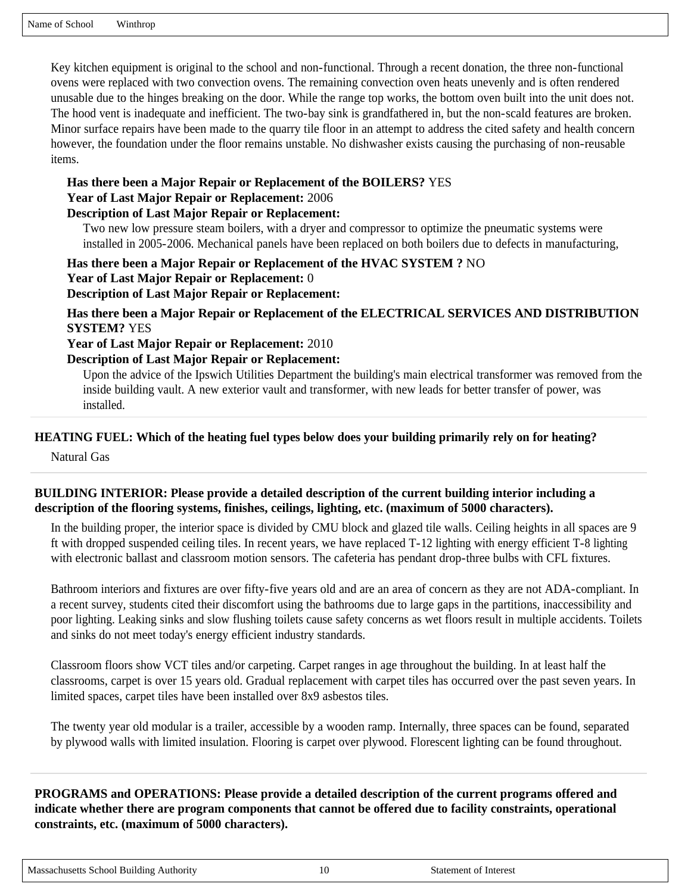Key kitchen equipment is original to the school and non-functional. Through a recent donation, the three non-functional ovens were replaced with two convection ovens. The remaining convection oven heats unevenly and is often rendered unusable due to the hinges breaking on the door. While the range top works, the bottom oven built into the unit does not. The hood vent is inadequate and inefficient. The two-bay sink is grandfathered in, but the non-scald features are broken. Minor surface repairs have been made to the quarry tile floor in an attempt to address the cited safety and health concern however, the foundation under the floor remains unstable. No dishwasher exists causing the purchasing of non-reusable items.

#### **Has there been a Major Repair or Replacement of the BOILERS?** YES

**Year of Last Major Repair or Replacement:** 2006

#### **Description of Last Major Repair or Replacement:**

Two new low pressure steam boilers, with a dryer and compressor to optimize the pneumatic systems were installed in 2005-2006. Mechanical panels have been replaced on both boilers due to defects in manufacturing,

**Has there been a Major Repair or Replacement of the HVAC SYSTEM ?** NO **Year of Last Major Repair or Replacement:** 0 **Description of Last Major Repair or Replacement:** 

**Has there been a Major Repair or Replacement of the ELECTRICAL SERVICES AND DISTRIBUTION SYSTEM?** YES

#### **Year of Last Major Repair or Replacement:** 2010

#### **Description of Last Major Repair or Replacement:**

Upon the advice of the Ipswich Utilities Department the building's main electrical transformer was removed from the inside building vault. A new exterior vault and transformer, with new leads for better transfer of power, was installed.

#### **HEATING FUEL: Which of the heating fuel types below does your building primarily rely on for heating?**

Natural Gas

#### **BUILDING INTERIOR: Please provide a detailed description of the current building interior including a description of the flooring systems, finishes, ceilings, lighting, etc. (maximum of 5000 characters).**

In the building proper, the interior space is divided by CMU block and glazed tile walls. Ceiling heights in all spaces are 9 ft with dropped suspended ceiling tiles. In recent years, we have replaced T-12 lighting with energy efficient T-8 lighting with electronic ballast and classroom motion sensors. The cafeteria has pendant drop-three bulbs with CFL fixtures.

Bathroom interiors and fixtures are over fifty-five years old and are an area of concern as they are not ADA-compliant. In a recent survey, students cited their discomfort using the bathrooms due to large gaps in the partitions, inaccessibility and poor lighting. Leaking sinks and slow flushing toilets cause safety concerns as wet floors result in multiple accidents. Toilets and sinks do not meet today's energy efficient industry standards.

Classroom floors show VCT tiles and/or carpeting. Carpet ranges in age throughout the building. In at least half the classrooms, carpet is over 15 years old. Gradual replacement with carpet tiles has occurred over the past seven years. In limited spaces, carpet tiles have been installed over 8x9 asbestos tiles.

The twenty year old modular is a trailer, accessible by a wooden ramp. Internally, three spaces can be found, separated by plywood walls with limited insulation. Flooring is carpet over plywood. Florescent lighting can be found throughout.

**PROGRAMS and OPERATIONS: Please provide a detailed description of the current programs offered and indicate whether there are program components that cannot be offered due to facility constraints, operational constraints, etc. (maximum of 5000 characters).**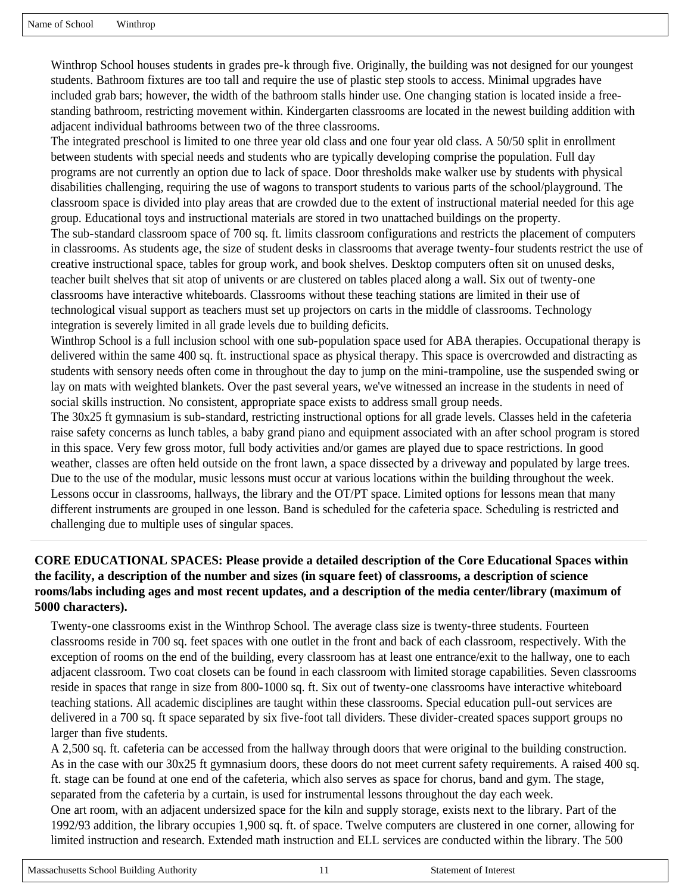Winthrop School houses students in grades pre-k through five. Originally, the building was not designed for our youngest students. Bathroom fixtures are too tall and require the use of plastic step stools to access. Minimal upgrades have included grab bars; however, the width of the bathroom stalls hinder use. One changing station is located inside a freestanding bathroom, restricting movement within. Kindergarten classrooms are located in the newest building addition with adjacent individual bathrooms between two of the three classrooms.

The integrated preschool is limited to one three year old class and one four year old class. A 50/50 split in enrollment between students with special needs and students who are typically developing comprise the population. Full day programs are not currently an option due to lack of space. Door thresholds make walker use by students with physical disabilities challenging, requiring the use of wagons to transport students to various parts of the school/playground. The classroom space is divided into play areas that are crowded due to the extent of instructional material needed for this age group. Educational toys and instructional materials are stored in two unattached buildings on the property. The sub-standard classroom space of 700 sq. ft. limits classroom configurations and restricts the placement of computers in classrooms. As students age, the size of student desks in classrooms that average twenty-four students restrict the use of creative instructional space, tables for group work, and book shelves. Desktop computers often sit on unused desks, teacher built shelves that sit atop of univents or are clustered on tables placed along a wall. Six out of twenty-one classrooms have interactive whiteboards. Classrooms without these teaching stations are limited in their use of technological visual support as teachers must set up projectors on carts in the middle of classrooms. Technology integration is severely limited in all grade levels due to building deficits.

Winthrop School is a full inclusion school with one sub-population space used for ABA therapies. Occupational therapy is delivered within the same 400 sq. ft. instructional space as physical therapy. This space is overcrowded and distracting as students with sensory needs often come in throughout the day to jump on the mini-trampoline, use the suspended swing or lay on mats with weighted blankets. Over the past several years, we've witnessed an increase in the students in need of social skills instruction. No consistent, appropriate space exists to address small group needs.

The 30x25 ft gymnasium is sub-standard, restricting instructional options for all grade levels. Classes held in the cafeteria raise safety concerns as lunch tables, a baby grand piano and equipment associated with an after school program is stored in this space. Very few gross motor, full body activities and/or games are played due to space restrictions. In good weather, classes are often held outside on the front lawn, a space dissected by a driveway and populated by large trees. Due to the use of the modular, music lessons must occur at various locations within the building throughout the week. Lessons occur in classrooms, hallways, the library and the OT/PT space. Limited options for lessons mean that many different instruments are grouped in one lesson. Band is scheduled for the cafeteria space. Scheduling is restricted and challenging due to multiple uses of singular spaces.

# **CORE EDUCATIONAL SPACES: Please provide a detailed description of the Core Educational Spaces within the facility, a description of the number and sizes (in square feet) of classrooms, a description of science rooms/labs including ages and most recent updates, and a description of the media center/library (maximum of 5000 characters).**

Twenty-one classrooms exist in the Winthrop School. The average class size is twenty-three students. Fourteen classrooms reside in 700 sq. feet spaces with one outlet in the front and back of each classroom, respectively. With the exception of rooms on the end of the building, every classroom has at least one entrance/exit to the hallway, one to each adjacent classroom. Two coat closets can be found in each classroom with limited storage capabilities. Seven classrooms reside in spaces that range in size from 800-1000 sq. ft. Six out of twenty-one classrooms have interactive whiteboard teaching stations. All academic disciplines are taught within these classrooms. Special education pull-out services are delivered in a 700 sq. ft space separated by six five-foot tall dividers. These divider-created spaces support groups no larger than five students.

A 2,500 sq. ft. cafeteria can be accessed from the hallway through doors that were original to the building construction. As in the case with our 30x25 ft gymnasium doors, these doors do not meet current safety requirements. A raised 400 sq. ft. stage can be found at one end of the cafeteria, which also serves as space for chorus, band and gym. The stage, separated from the cafeteria by a curtain, is used for instrumental lessons throughout the day each week.

One art room, with an adjacent undersized space for the kiln and supply storage, exists next to the library. Part of the 1992/93 addition, the library occupies 1,900 sq. ft. of space. Twelve computers are clustered in one corner, allowing for limited instruction and research. Extended math instruction and ELL services are conducted within the library. The 500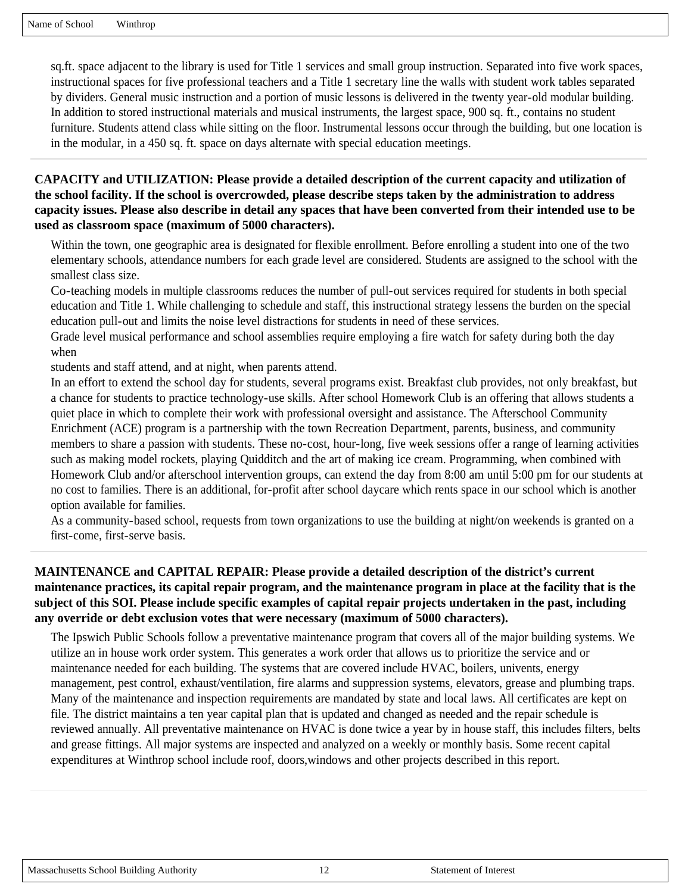sq.ft. space adjacent to the library is used for Title 1 services and small group instruction. Separated into five work spaces, instructional spaces for five professional teachers and a Title 1 secretary line the walls with student work tables separated by dividers. General music instruction and a portion of music lessons is delivered in the twenty year-old modular building. In addition to stored instructional materials and musical instruments, the largest space, 900 sq. ft., contains no student furniture. Students attend class while sitting on the floor. Instrumental lessons occur through the building, but one location is in the modular, in a 450 sq. ft. space on days alternate with special education meetings.

**CAPACITY and UTILIZATION: Please provide a detailed description of the current capacity and utilization of the school facility. If the school is overcrowded, please describe steps taken by the administration to address capacity issues. Please also describe in detail any spaces that have been converted from their intended use to be used as classroom space (maximum of 5000 characters).**

Within the town, one geographic area is designated for flexible enrollment. Before enrolling a student into one of the two elementary schools, attendance numbers for each grade level are considered. Students are assigned to the school with the smallest class size.

Co-teaching models in multiple classrooms reduces the number of pull-out services required for students in both special education and Title 1. While challenging to schedule and staff, this instructional strategy lessens the burden on the special education pull-out and limits the noise level distractions for students in need of these services.

Grade level musical performance and school assemblies require employing a fire watch for safety during both the day when

students and staff attend, and at night, when parents attend.

In an effort to extend the school day for students, several programs exist. Breakfast club provides, not only breakfast, but a chance for students to practice technology-use skills. After school Homework Club is an offering that allows students a quiet place in which to complete their work with professional oversight and assistance. The Afterschool Community Enrichment (ACE) program is a partnership with the town Recreation Department, parents, business, and community members to share a passion with students. These no-cost, hour-long, five week sessions offer a range of learning activities such as making model rockets, playing Quidditch and the art of making ice cream. Programming, when combined with Homework Club and/or afterschool intervention groups, can extend the day from 8:00 am until 5:00 pm for our students at no cost to families. There is an additional, for-profit after school daycare which rents space in our school which is another option available for families.

As a community-based school, requests from town organizations to use the building at night/on weekends is granted on a first-come, first-serve basis.

# **MAINTENANCE and CAPITAL REPAIR: Please provide a detailed description of the district's current maintenance practices, its capital repair program, and the maintenance program in place at the facility that is the subject of this SOI. Please include specific examples of capital repair projects undertaken in the past, including any override or debt exclusion votes that were necessary (maximum of 5000 characters).**

The Ipswich Public Schools follow a preventative maintenance program that covers all of the major building systems. We utilize an in house work order system. This generates a work order that allows us to prioritize the service and or maintenance needed for each building. The systems that are covered include HVAC, boilers, univents, energy management, pest control, exhaust/ventilation, fire alarms and suppression systems, elevators, grease and plumbing traps. Many of the maintenance and inspection requirements are mandated by state and local laws. All certificates are kept on file. The district maintains a ten year capital plan that is updated and changed as needed and the repair schedule is reviewed annually. All preventative maintenance on HVAC is done twice a year by in house staff, this includes filters, belts and grease fittings. All major systems are inspected and analyzed on a weekly or monthly basis. Some recent capital expenditures at Winthrop school include roof, doors,windows and other projects described in this report.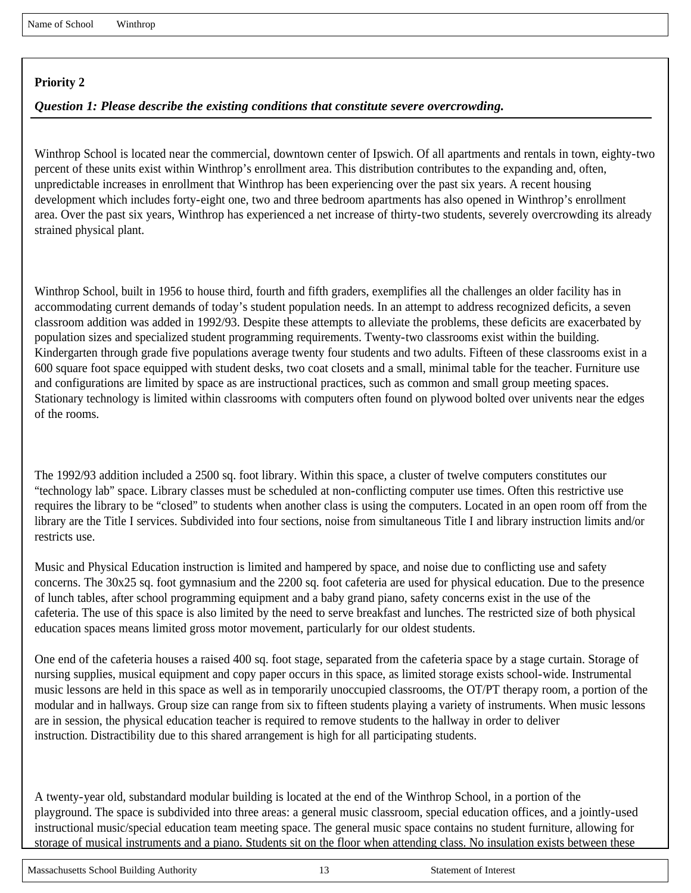# *Question 1: Please describe the existing conditions that constitute severe overcrowding.*

Winthrop School is located near the commercial, downtown center of Ipswich. Of all apartments and rentals in town, eighty-two percent of these units exist within Winthrop's enrollment area. This distribution contributes to the expanding and, often, unpredictable increases in enrollment that Winthrop has been experiencing over the past six years. A recent housing development which includes forty-eight one, two and three bedroom apartments has also opened in Winthrop's enrollment area. Over the past six years, Winthrop has experienced a net increase of thirty-two students, severely overcrowding its already strained physical plant.

Winthrop School, built in 1956 to house third, fourth and fifth graders, exemplifies all the challenges an older facility has in accommodating current demands of today's student population needs. In an attempt to address recognized deficits, a seven classroom addition was added in 1992/93. Despite these attempts to alleviate the problems, these deficits are exacerbated by population sizes and specialized student programming requirements. Twenty-two classrooms exist within the building. Kindergarten through grade five populations average twenty four students and two adults. Fifteen of these classrooms exist in a 600 square foot space equipped with student desks, two coat closets and a small, minimal table for the teacher. Furniture use and configurations are limited by space as are instructional practices, such as common and small group meeting spaces. Stationary technology is limited within classrooms with computers often found on plywood bolted over univents near the edges of the rooms.

The 1992/93 addition included a 2500 sq. foot library. Within this space, a cluster of twelve computers constitutes our "technology lab" space. Library classes must be scheduled at non-conflicting computer use times. Often this restrictive use requires the library to be "closed" to students when another class is using the computers. Located in an open room off from the library are the Title I services. Subdivided into four sections, noise from simultaneous Title I and library instruction limits and/or restricts use.

Music and Physical Education instruction is limited and hampered by space, and noise due to conflicting use and safety concerns. The 30x25 sq. foot gymnasium and the 2200 sq. foot cafeteria are used for physical education. Due to the presence of lunch tables, after school programming equipment and a baby grand piano, safety concerns exist in the use of the cafeteria. The use of this space is also limited by the need to serve breakfast and lunches. The restricted size of both physical education spaces means limited gross motor movement, particularly for our oldest students.

One end of the cafeteria houses a raised 400 sq. foot stage, separated from the cafeteria space by a stage curtain. Storage of nursing supplies, musical equipment and copy paper occurs in this space, as limited storage exists school-wide. Instrumental music lessons are held in this space as well as in temporarily unoccupied classrooms, the OT/PT therapy room, a portion of the modular and in hallways. Group size can range from six to fifteen students playing a variety of instruments. When music lessons are in session, the physical education teacher is required to remove students to the hallway in order to deliver instruction. Distractibility due to this shared arrangement is high for all participating students.

A twenty-year old, substandard modular building is located at the end of the Winthrop School, in a portion of the playground. The space is subdivided into three areas: a general music classroom, special education offices, and a jointly-used instructional music/special education team meeting space. The general music space contains no student furniture, allowing for storage of musical instruments and a piano. Students sit on the floor when attending class. No insulation exists between these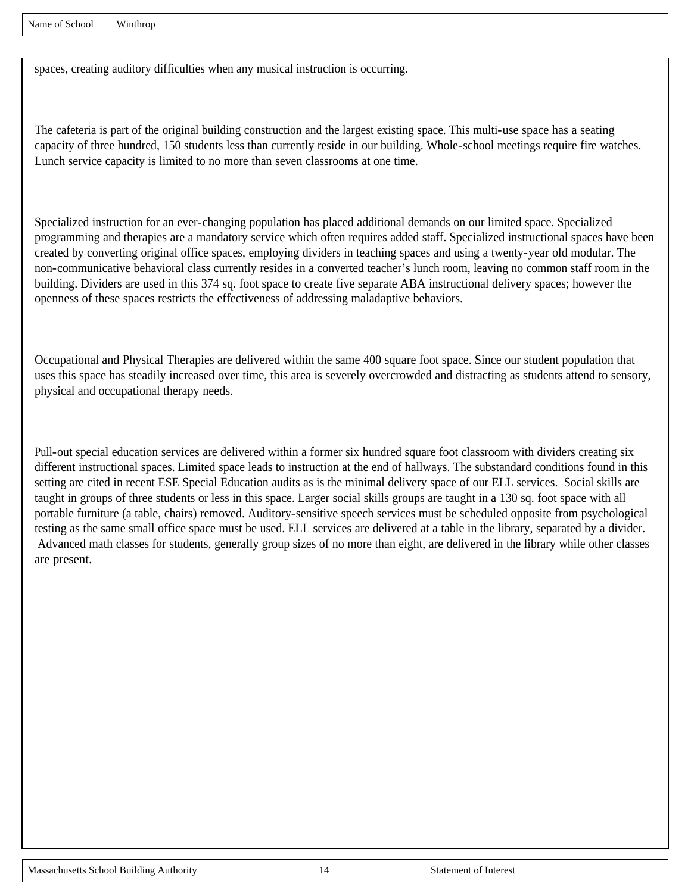spaces, creating auditory difficulties when any musical instruction is occurring.

The cafeteria is part of the original building construction and the largest existing space. This multi-use space has a seating capacity of three hundred, 150 students less than currently reside in our building. Whole-school meetings require fire watches. Lunch service capacity is limited to no more than seven classrooms at one time.

Specialized instruction for an ever-changing population has placed additional demands on our limited space. Specialized programming and therapies are a mandatory service which often requires added staff. Specialized instructional spaces have been created by converting original office spaces, employing dividers in teaching spaces and using a twenty-year old modular. The non-communicative behavioral class currently resides in a converted teacher's lunch room, leaving no common staff room in the building. Dividers are used in this 374 sq. foot space to create five separate ABA instructional delivery spaces; however the openness of these spaces restricts the effectiveness of addressing maladaptive behaviors.

Occupational and Physical Therapies are delivered within the same 400 square foot space. Since our student population that uses this space has steadily increased over time, this area is severely overcrowded and distracting as students attend to sensory, physical and occupational therapy needs.

Pull-out special education services are delivered within a former six hundred square foot classroom with dividers creating six different instructional spaces. Limited space leads to instruction at the end of hallways. The substandard conditions found in this setting are cited in recent ESE Special Education audits as is the minimal delivery space of our ELL services. Social skills are taught in groups of three students or less in this space. Larger social skills groups are taught in a 130 sq. foot space with all portable furniture (a table, chairs) removed. Auditory-sensitive speech services must be scheduled opposite from psychological testing as the same small office space must be used. ELL services are delivered at a table in the library, separated by a divider. Advanced math classes for students, generally group sizes of no more than eight, are delivered in the library while other classes are present.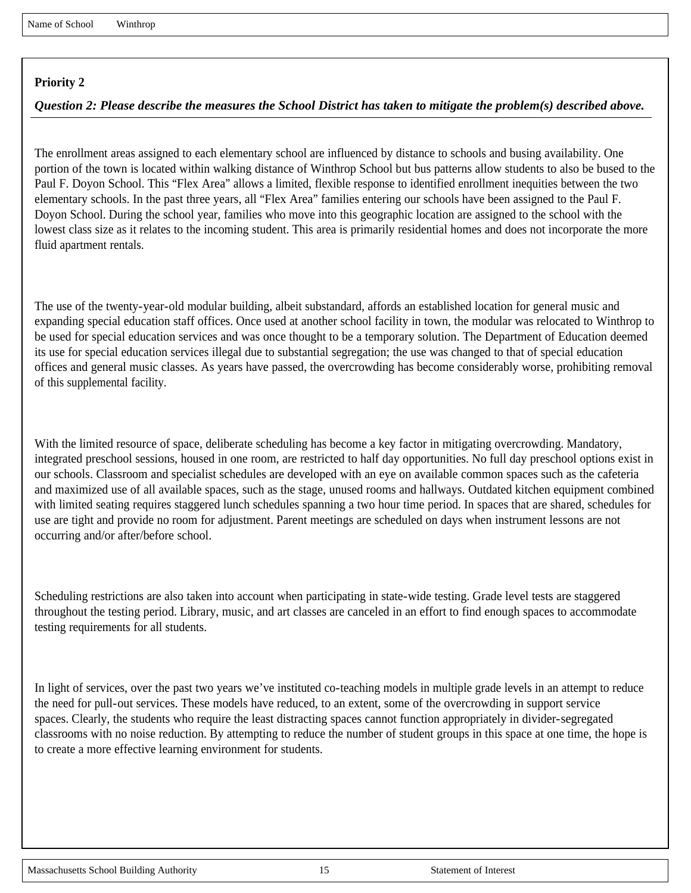# *Question 2: Please describe the measures the School District has taken to mitigate the problem(s) described above.*

The enrollment areas assigned to each elementary school are influenced by distance to schools and busing availability. One portion of the town is located within walking distance of Winthrop School but bus patterns allow students to also be bused to the Paul F. Doyon School. This "Flex Area" allows a limited, flexible response to identified enrollment inequities between the two elementary schools. In the past three years, all "Flex Area" families entering our schools have been assigned to the Paul F. Doyon School. During the school year, families who move into this geographic location are assigned to the school with the lowest class size as it relates to the incoming student. This area is primarily residential homes and does not incorporate the more fluid apartment rentals.

The use of the twenty-year-old modular building, albeit substandard, affords an established location for general music and expanding special education staff offices. Once used at another school facility in town, the modular was relocated to Winthrop to be used for special education services and was once thought to be a temporary solution. The Department of Education deemed its use for special education services illegal due to substantial segregation; the use was changed to that of special education offices and general music classes. As years have passed, the overcrowding has become considerably worse, prohibiting removal of this supplemental facility.

With the limited resource of space, deliberate scheduling has become a key factor in mitigating overcrowding. Mandatory, integrated preschool sessions, housed in one room, are restricted to half day opportunities. No full day preschool options exist in our schools. Classroom and specialist schedules are developed with an eye on available common spaces such as the cafeteria and maximized use of all available spaces, such as the stage, unused rooms and hallways. Outdated kitchen equipment combined with limited seating requires staggered lunch schedules spanning a two hour time period. In spaces that are shared, schedules for use are tight and provide no room for adjustment. Parent meetings are scheduled on days when instrument lessons are not occurring and/or after/before school.

Scheduling restrictions are also taken into account when participating in state-wide testing. Grade level tests are staggered throughout the testing period. Library, music, and art classes are canceled in an effort to find enough spaces to accommodate testing requirements for all students.

In light of services, over the past two years we've instituted co-teaching models in multiple grade levels in an attempt to reduce the need for pull-out services. These models have reduced, to an extent, some of the overcrowding in support service spaces. Clearly, the students who require the least distracting spaces cannot function appropriately in divider-segregated classrooms with no noise reduction. By attempting to reduce the number of student groups in this space at one time, the hope is to create a more effective learning environment for students.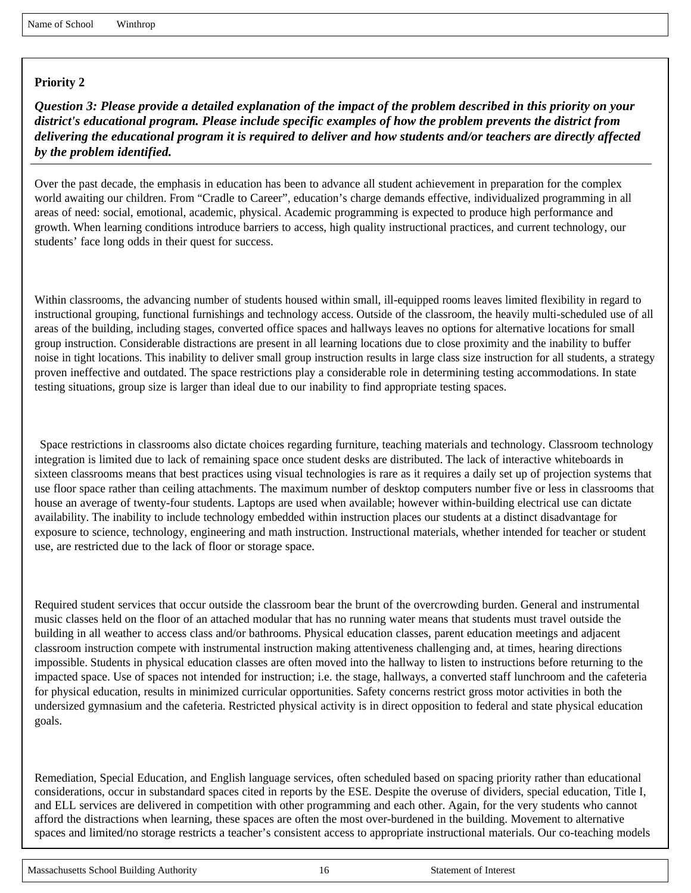*Question 3: Please provide a detailed explanation of the impact of the problem described in this priority on your district's educational program. Please include specific examples of how the problem prevents the district from delivering the educational program it is required to deliver and how students and/or teachers are directly affected by the problem identified.*

Over the past decade, the emphasis in education has been to advance all student achievement in preparation for the complex world awaiting our children. From "Cradle to Career", education's charge demands effective, individualized programming in all areas of need: social, emotional, academic, physical. Academic programming is expected to produce high performance and growth. When learning conditions introduce barriers to access, high quality instructional practices, and current technology, our students' face long odds in their quest for success.

Within classrooms, the advancing number of students housed within small, ill-equipped rooms leaves limited flexibility in regard to instructional grouping, functional furnishings and technology access. Outside of the classroom, the heavily multi-scheduled use of all areas of the building, including stages, converted office spaces and hallways leaves no options for alternative locations for small group instruction. Considerable distractions are present in all learning locations due to close proximity and the inability to buffer noise in tight locations. This inability to deliver small group instruction results in large class size instruction for all students, a strategy proven ineffective and outdated. The space restrictions play a considerable role in determining testing accommodations. In state testing situations, group size is larger than ideal due to our inability to find appropriate testing spaces.

 Space restrictions in classrooms also dictate choices regarding furniture, teaching materials and technology. Classroom technology integration is limited due to lack of remaining space once student desks are distributed. The lack of interactive whiteboards in sixteen classrooms means that best practices using visual technologies is rare as it requires a daily set up of projection systems that use floor space rather than ceiling attachments. The maximum number of desktop computers number five or less in classrooms that house an average of twenty-four students. Laptops are used when available; however within-building electrical use can dictate availability. The inability to include technology embedded within instruction places our students at a distinct disadvantage for exposure to science, technology, engineering and math instruction. Instructional materials, whether intended for teacher or student use, are restricted due to the lack of floor or storage space.

Required student services that occur outside the classroom bear the brunt of the overcrowding burden. General and instrumental music classes held on the floor of an attached modular that has no running water means that students must travel outside the building in all weather to access class and/or bathrooms. Physical education classes, parent education meetings and adjacent classroom instruction compete with instrumental instruction making attentiveness challenging and, at times, hearing directions impossible. Students in physical education classes are often moved into the hallway to listen to instructions before returning to the impacted space. Use of spaces not intended for instruction; i.e. the stage, hallways, a converted staff lunchroom and the cafeteria for physical education, results in minimized curricular opportunities. Safety concerns restrict gross motor activities in both the undersized gymnasium and the cafeteria. Restricted physical activity is in direct opposition to federal and state physical education goals.

Remediation, Special Education, and English language services, often scheduled based on spacing priority rather than educational considerations, occur in substandard spaces cited in reports by the ESE. Despite the overuse of dividers, special education, Title I, and ELL services are delivered in competition with other programming and each other. Again, for the very students who cannot afford the distractions when learning, these spaces are often the most over-burdened in the building. Movement to alternative spaces and limited/no storage restricts a teacher's consistent access to appropriate instructional materials. Our co-teaching models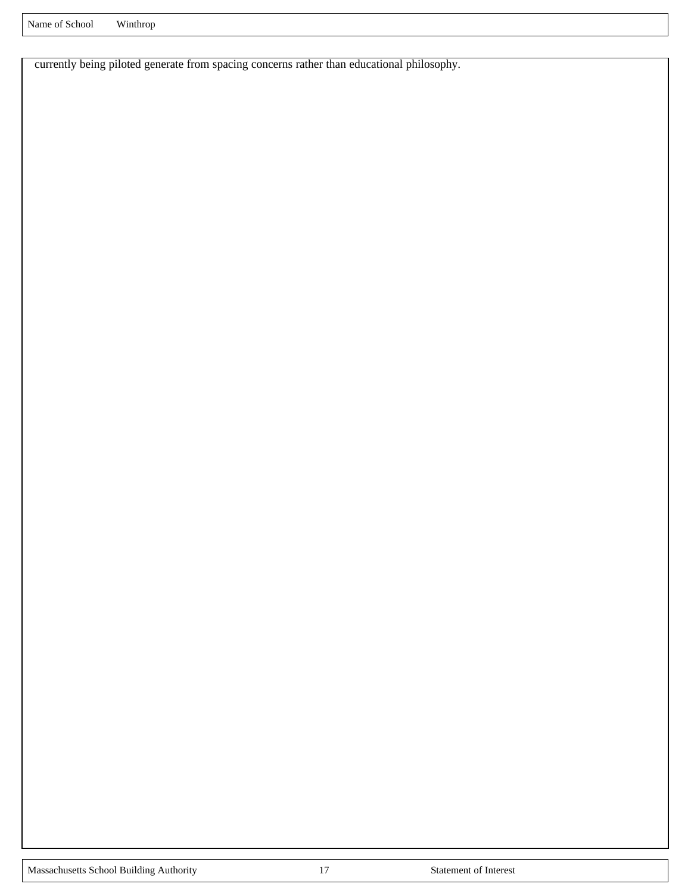currently being piloted generate from spacing concerns rather than educational philosophy.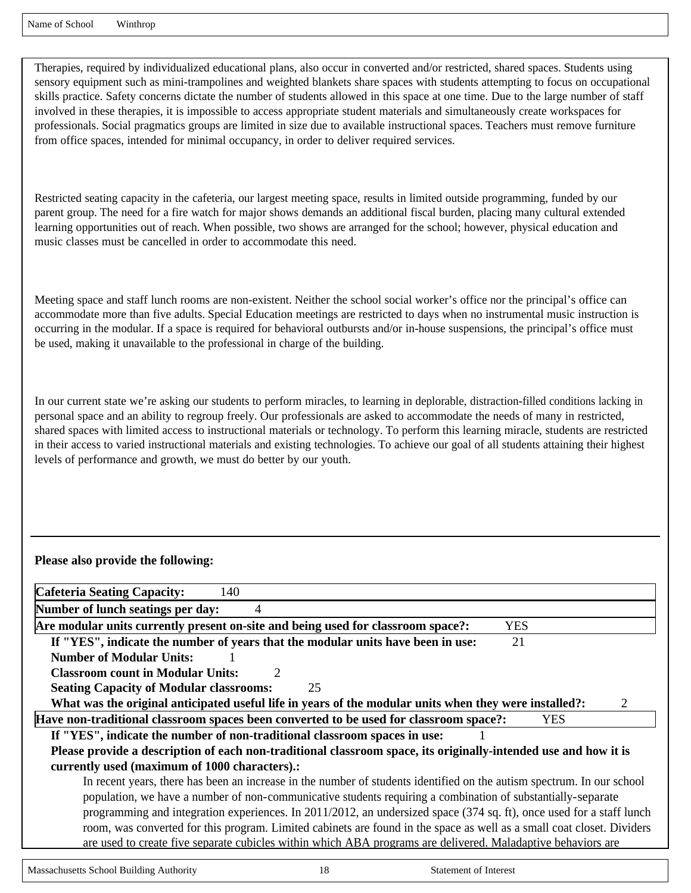Therapies, required by individualized educational plans, also occur in converted and/or restricted, shared spaces. Students using sensory equipment such as mini-trampolines and weighted blankets share spaces with students attempting to focus on occupational skills practice. Safety concerns dictate the number of students allowed in this space at one time. Due to the large number of staff involved in these therapies, it is impossible to access appropriate student materials and simultaneously create workspaces for professionals. Social pragmatics groups are limited in size due to available instructional spaces. Teachers must remove furniture from office spaces, intended for minimal occupancy, in order to deliver required services.

Restricted seating capacity in the cafeteria, our largest meeting space, results in limited outside programming, funded by our parent group. The need for a fire watch for major shows demands an additional fiscal burden, placing many cultural extended learning opportunities out of reach. When possible, two shows are arranged for the school; however, physical education and music classes must be cancelled in order to accommodate this need.

Meeting space and staff lunch rooms are non-existent. Neither the school social worker's office nor the principal's office can accommodate more than five adults. Special Education meetings are restricted to days when no instrumental music instruction is occurring in the modular. If a space is required for behavioral outbursts and/or in-house suspensions, the principal's office must be used, making it unavailable to the professional in charge of the building.

In our current state we're asking our students to perform miracles, to learning in deplorable, distraction-filled conditions lacking in personal space and an ability to regroup freely. Our professionals are asked to accommodate the needs of many in restricted, shared spaces with limited access to instructional materials or technology. To perform this learning miracle, students are restricted in their access to varied instructional materials and existing technologies. To achieve our goal of all students attaining their highest levels of performance and growth, we must do better by our youth.

#### **Please also provide the following:**

| <b>Cafeteria Seating Capacity:</b><br>140                                                                              |
|------------------------------------------------------------------------------------------------------------------------|
| Number of lunch seatings per day:<br>4                                                                                 |
| Are modular units currently present on-site and being used for classroom space?:<br><b>YES</b>                         |
| If "YES", indicate the number of years that the modular units have been in use:<br>21                                  |
| <b>Number of Modular Units:</b>                                                                                        |
| <b>Classroom count in Modular Units:</b><br>$\mathcal{D}_{\cdot}$                                                      |
| <b>Seating Capacity of Modular classrooms:</b><br>25                                                                   |
| What was the original anticipated useful life in years of the modular units when they were installed?:<br>2            |
| Have non-traditional classroom spaces been converted to be used for classroom space?:<br><b>YES</b>                    |
| If "YES", indicate the number of non-traditional classroom spaces in use:                                              |
| Please provide a description of each non-traditional classroom space, its originally-intended use and how it is        |
| currently used (maximum of 1000 characters).:                                                                          |
| In recent years, there has been an increase in the number of students identified on the autism spectrum. In our school |
| population, we have a number of non-communicative students requiring a combination of substantially-separate           |
| programming and integration experiences. In 2011/2012, an undersized space (374 sq. ft), once used for a staff lunch   |
| room, was converted for this program. Limited cabinets are found in the space as well as a small coat closet. Dividers |
| are used to create five separate cubicles within which ABA programs are delivered. Maladaptive behaviors are           |
|                                                                                                                        |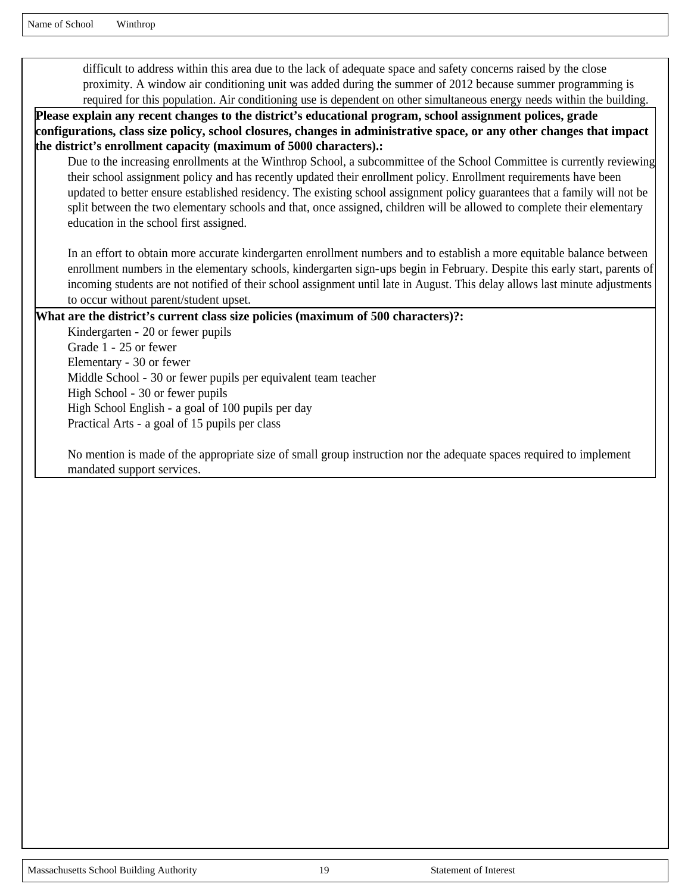Name of School Winthrop

difficult to address within this area due to the lack of adequate space and safety concerns raised by the close proximity. A window air conditioning unit was added during the summer of 2012 because summer programming is required for this population. Air conditioning use is dependent on other simultaneous energy needs within the building.

**Please explain any recent changes to the district's educational program, school assignment polices, grade configurations, class size policy, school closures, changes in administrative space, or any other changes that impact the district's enrollment capacity (maximum of 5000 characters).:** 

Due to the increasing enrollments at the Winthrop School, a subcommittee of the School Committee is currently reviewing their school assignment policy and has recently updated their enrollment policy. Enrollment requirements have been updated to better ensure established residency. The existing school assignment policy guarantees that a family will not be split between the two elementary schools and that, once assigned, children will be allowed to complete their elementary education in the school first assigned.

In an effort to obtain more accurate kindergarten enrollment numbers and to establish a more equitable balance between enrollment numbers in the elementary schools, kindergarten sign-ups begin in February. Despite this early start, parents of incoming students are not notified of their school assignment until late in August. This delay allows last minute adjustments to occur without parent/student upset.

#### **What are the district's current class size policies (maximum of 500 characters)?:**

Kindergarten - 20 or fewer pupils Grade 1 - 25 or fewer Elementary - 30 or fewer Middle School - 30 or fewer pupils per equivalent team teacher High School - 30 or fewer pupils High School English - a goal of 100 pupils per day Practical Arts - a goal of 15 pupils per class

No mention is made of the appropriate size of small group instruction nor the adequate spaces required to implement mandated support services.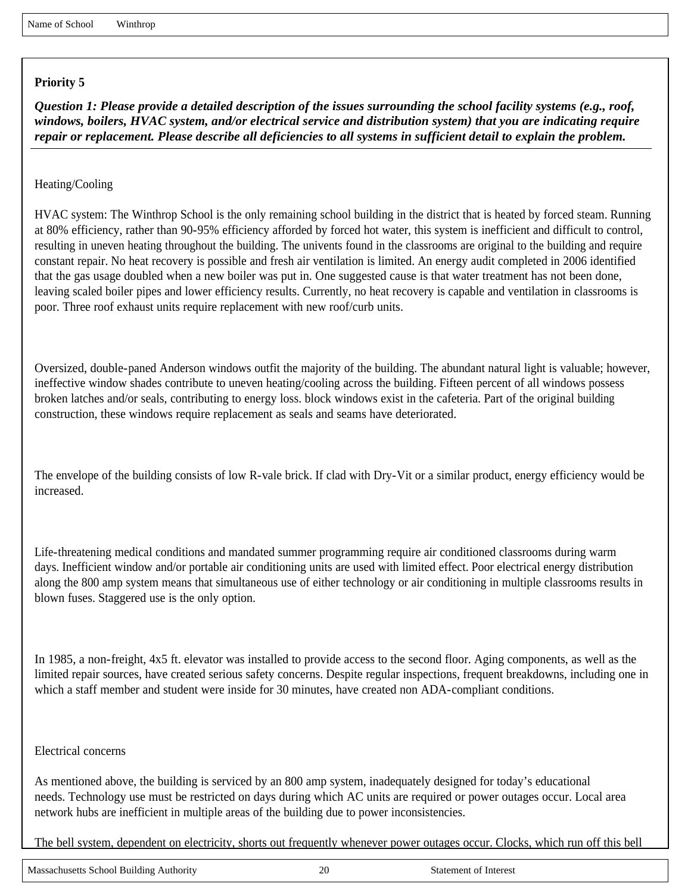*Question 1: Please provide a detailed description of the issues surrounding the school facility systems (e.g., roof, windows, boilers, HVAC system, and/or electrical service and distribution system) that you are indicating require repair or replacement. Please describe all deficiencies to all systems in sufficient detail to explain the problem.*

Heating/Cooling

HVAC system: The Winthrop School is the only remaining school building in the district that is heated by forced steam. Running at 80% efficiency, rather than 90-95% efficiency afforded by forced hot water, this system is inefficient and difficult to control, resulting in uneven heating throughout the building. The univents found in the classrooms are original to the building and require constant repair. No heat recovery is possible and fresh air ventilation is limited. An energy audit completed in 2006 identified that the gas usage doubled when a new boiler was put in. One suggested cause is that water treatment has not been done, leaving scaled boiler pipes and lower efficiency results. Currently, no heat recovery is capable and ventilation in classrooms is poor. Three roof exhaust units require replacement with new roof/curb units.

Oversized, double-paned Anderson windows outfit the majority of the building. The abundant natural light is valuable; however, ineffective window shades contribute to uneven heating/cooling across the building. Fifteen percent of all windows possess broken latches and/or seals, contributing to energy loss. block windows exist in the cafeteria. Part of the original building construction, these windows require replacement as seals and seams have deteriorated.

The envelope of the building consists of low R-vale brick. If clad with Dry-Vit or a similar product, energy efficiency would be increased.

Life-threatening medical conditions and mandated summer programming require air conditioned classrooms during warm days. Inefficient window and/or portable air conditioning units are used with limited effect. Poor electrical energy distribution along the 800 amp system means that simultaneous use of either technology or air conditioning in multiple classrooms results in blown fuses. Staggered use is the only option.

In 1985, a non-freight, 4x5 ft. elevator was installed to provide access to the second floor. Aging components, as well as the limited repair sources, have created serious safety concerns. Despite regular inspections, frequent breakdowns, including one in which a staff member and student were inside for 30 minutes, have created non ADA-compliant conditions.

#### Electrical concerns

As mentioned above, the building is serviced by an 800 amp system, inadequately designed for today's educational needs. Technology use must be restricted on days during which AC units are required or power outages occur. Local area network hubs are inefficient in multiple areas of the building due to power inconsistencies.

The bell system, dependent on electricity, shorts out frequently whenever power outages occur. Clocks, which run off this bell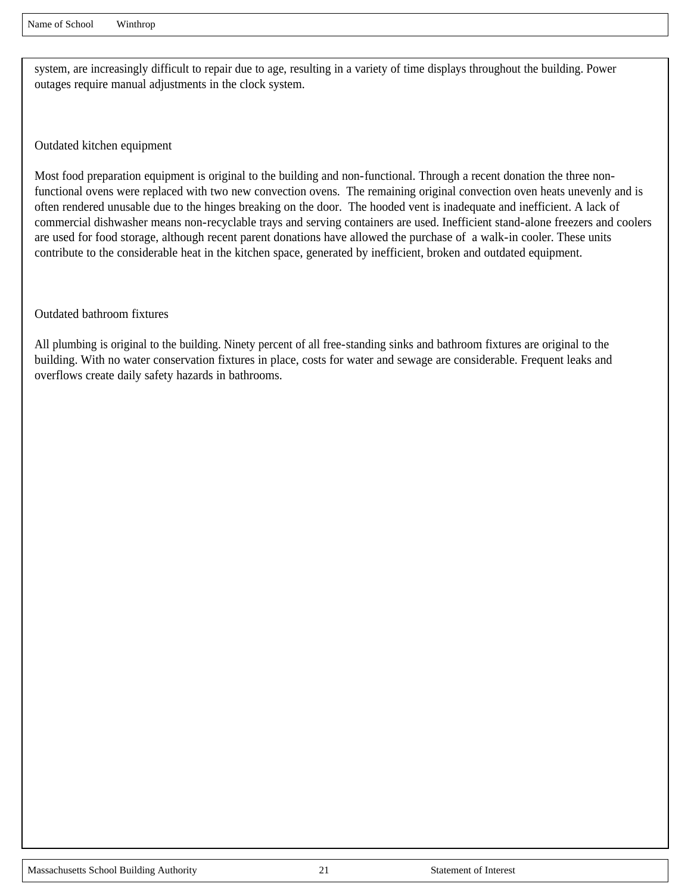system, are increasingly difficult to repair due to age, resulting in a variety of time displays throughout the building. Power outages require manual adjustments in the clock system.

Outdated kitchen equipment

Most food preparation equipment is original to the building and non-functional. Through a recent donation the three nonfunctional ovens were replaced with two new convection ovens. The remaining original convection oven heats unevenly and is often rendered unusable due to the hinges breaking on the door. The hooded vent is inadequate and inefficient. A lack of commercial dishwasher means non-recyclable trays and serving containers are used. Inefficient stand-alone freezers and coolers are used for food storage, although recent parent donations have allowed the purchase of a walk-in cooler. These units contribute to the considerable heat in the kitchen space, generated by inefficient, broken and outdated equipment.

Outdated bathroom fixtures

All plumbing is original to the building. Ninety percent of all free-standing sinks and bathroom fixtures are original to the building. With no water conservation fixtures in place, costs for water and sewage are considerable. Frequent leaks and overflows create daily safety hazards in bathrooms.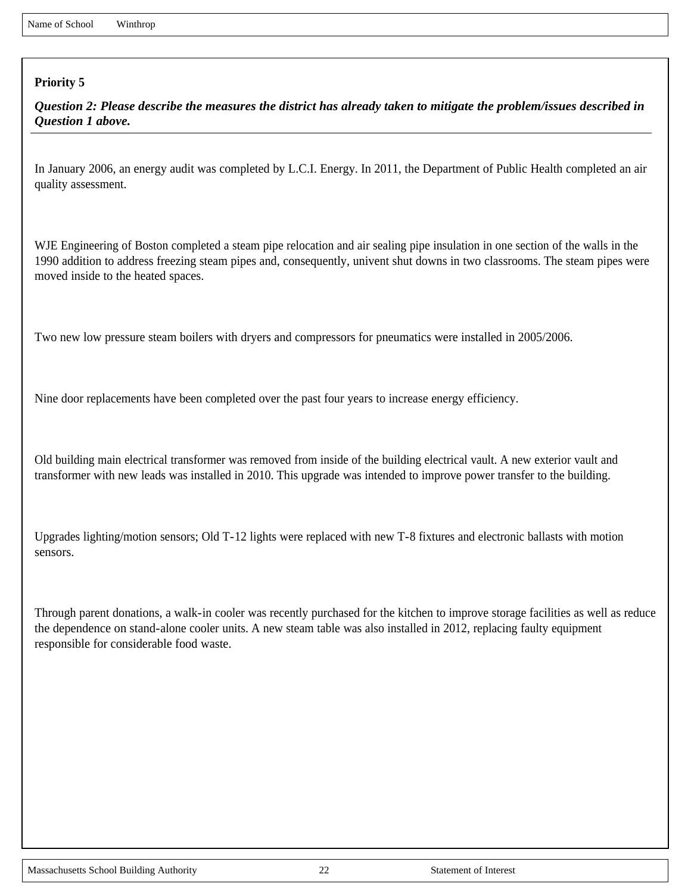*Question 2: Please describe the measures the district has already taken to mitigate the problem/issues described in Question 1 above.*

In January 2006, an energy audit was completed by L.C.I. Energy. In 2011, the Department of Public Health completed an air quality assessment.

WJE Engineering of Boston completed a steam pipe relocation and air sealing pipe insulation in one section of the walls in the 1990 addition to address freezing steam pipes and, consequently, univent shut downs in two classrooms. The steam pipes were moved inside to the heated spaces.

Two new low pressure steam boilers with dryers and compressors for pneumatics were installed in 2005/2006.

Nine door replacements have been completed over the past four years to increase energy efficiency.

Old building main electrical transformer was removed from inside of the building electrical vault. A new exterior vault and transformer with new leads was installed in 2010. This upgrade was intended to improve power transfer to the building.

Upgrades lighting/motion sensors; Old T-12 lights were replaced with new T-8 fixtures and electronic ballasts with motion sensors.

Through parent donations, a walk-in cooler was recently purchased for the kitchen to improve storage facilities as well as reduce the dependence on stand-alone cooler units. A new steam table was also installed in 2012, replacing faulty equipment responsible for considerable food waste.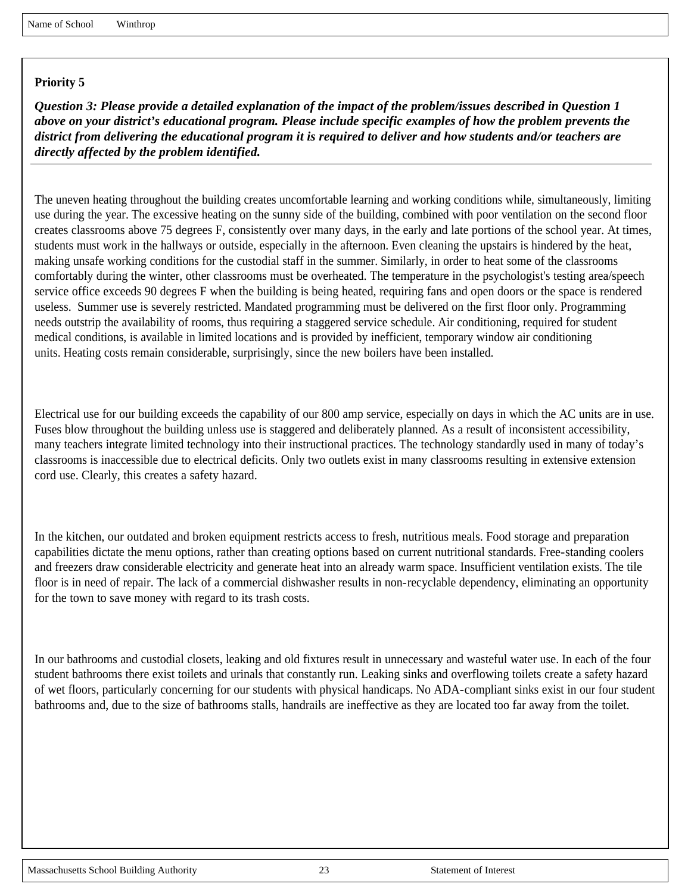*Question 3: Please provide a detailed explanation of the impact of the problem/issues described in Question 1 above on your district's educational program. Please include specific examples of how the problem prevents the district from delivering the educational program it is required to deliver and how students and/or teachers are directly affected by the problem identified.*

The uneven heating throughout the building creates uncomfortable learning and working conditions while, simultaneously, limiting use during the year. The excessive heating on the sunny side of the building, combined with poor ventilation on the second floor creates classrooms above 75 degrees F, consistently over many days, in the early and late portions of the school year. At times, students must work in the hallways or outside, especially in the afternoon. Even cleaning the upstairs is hindered by the heat, making unsafe working conditions for the custodial staff in the summer. Similarly, in order to heat some of the classrooms comfortably during the winter, other classrooms must be overheated. The temperature in the psychologist's testing area/speech service office exceeds 90 degrees F when the building is being heated, requiring fans and open doors or the space is rendered useless. Summer use is severely restricted. Mandated programming must be delivered on the first floor only. Programming needs outstrip the availability of rooms, thus requiring a staggered service schedule. Air conditioning, required for student medical conditions, is available in limited locations and is provided by inefficient, temporary window air conditioning units. Heating costs remain considerable, surprisingly, since the new boilers have been installed.

Electrical use for our building exceeds the capability of our 800 amp service, especially on days in which the AC units are in use. Fuses blow throughout the building unless use is staggered and deliberately planned. As a result of inconsistent accessibility, many teachers integrate limited technology into their instructional practices. The technology standardly used in many of today's classrooms is inaccessible due to electrical deficits. Only two outlets exist in many classrooms resulting in extensive extension cord use. Clearly, this creates a safety hazard.

In the kitchen, our outdated and broken equipment restricts access to fresh, nutritious meals. Food storage and preparation capabilities dictate the menu options, rather than creating options based on current nutritional standards. Free-standing coolers and freezers draw considerable electricity and generate heat into an already warm space. Insufficient ventilation exists. The tile floor is in need of repair. The lack of a commercial dishwasher results in non-recyclable dependency, eliminating an opportunity for the town to save money with regard to its trash costs.

In our bathrooms and custodial closets, leaking and old fixtures result in unnecessary and wasteful water use. In each of the four student bathrooms there exist toilets and urinals that constantly run. Leaking sinks and overflowing toilets create a safety hazard of wet floors, particularly concerning for our students with physical handicaps. No ADA-compliant sinks exist in our four student bathrooms and, due to the size of bathrooms stalls, handrails are ineffective as they are located too far away from the toilet.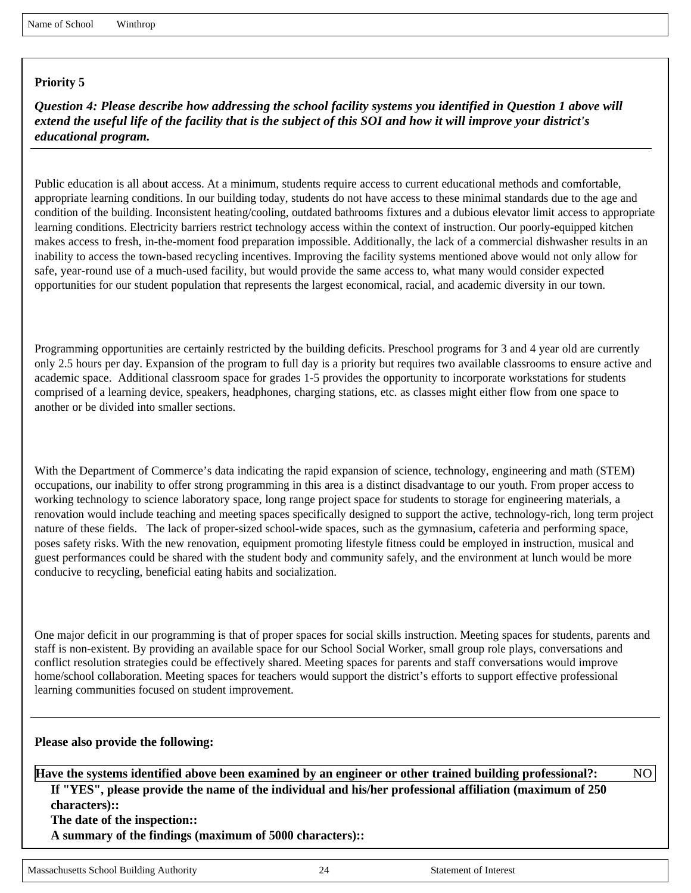*Question 4: Please describe how addressing the school facility systems you identified in Question 1 above will extend the useful life of the facility that is the subject of this SOI and how it will improve your district's educational program.*

Public education is all about access. At a minimum, students require access to current educational methods and comfortable, appropriate learning conditions. In our building today, students do not have access to these minimal standards due to the age and condition of the building. Inconsistent heating/cooling, outdated bathrooms fixtures and a dubious elevator limit access to appropriate learning conditions. Electricity barriers restrict technology access within the context of instruction. Our poorly-equipped kitchen makes access to fresh, in-the-moment food preparation impossible. Additionally, the lack of a commercial dishwasher results in an inability to access the town-based recycling incentives. Improving the facility systems mentioned above would not only allow for safe, year-round use of a much-used facility, but would provide the same access to, what many would consider expected opportunities for our student population that represents the largest economical, racial, and academic diversity in our town.

Programming opportunities are certainly restricted by the building deficits. Preschool programs for 3 and 4 year old are currently only 2.5 hours per day. Expansion of the program to full day is a priority but requires two available classrooms to ensure active and academic space. Additional classroom space for grades 1-5 provides the opportunity to incorporate workstations for students comprised of a learning device, speakers, headphones, charging stations, etc. as classes might either flow from one space to another or be divided into smaller sections.

With the Department of Commerce's data indicating the rapid expansion of science, technology, engineering and math (STEM) occupations, our inability to offer strong programming in this area is a distinct disadvantage to our youth. From proper access to working technology to science laboratory space, long range project space for students to storage for engineering materials, a renovation would include teaching and meeting spaces specifically designed to support the active, technology-rich, long term project nature of these fields. The lack of proper-sized school-wide spaces, such as the gymnasium, cafeteria and performing space, poses safety risks. With the new renovation, equipment promoting lifestyle fitness could be employed in instruction, musical and guest performances could be shared with the student body and community safely, and the environment at lunch would be more conducive to recycling, beneficial eating habits and socialization.

One major deficit in our programming is that of proper spaces for social skills instruction. Meeting spaces for students, parents and staff is non-existent. By providing an available space for our School Social Worker, small group role plays, conversations and conflict resolution strategies could be effectively shared. Meeting spaces for parents and staff conversations would improve home/school collaboration. Meeting spaces for teachers would support the district's efforts to support effective professional learning communities focused on student improvement.

#### **Please also provide the following:**

**Have the systems identified above been examined by an engineer or other trained building professional?:** NO

**If "YES", please provide the name of the individual and his/her professional affiliation (maximum of 250 characters)::** 

**The date of the inspection::** 

**A summary of the findings (maximum of 5000 characters)::**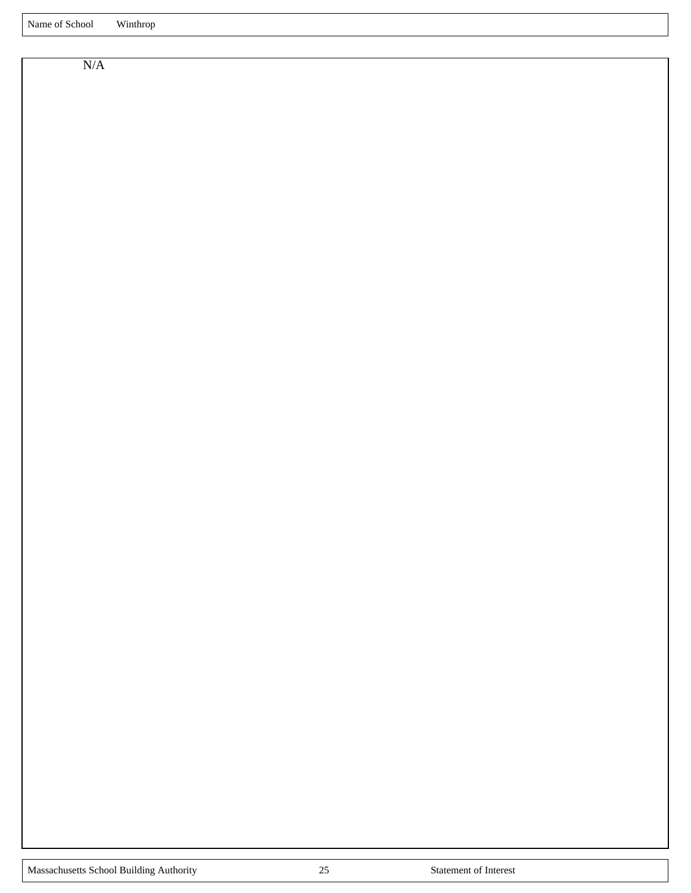N/A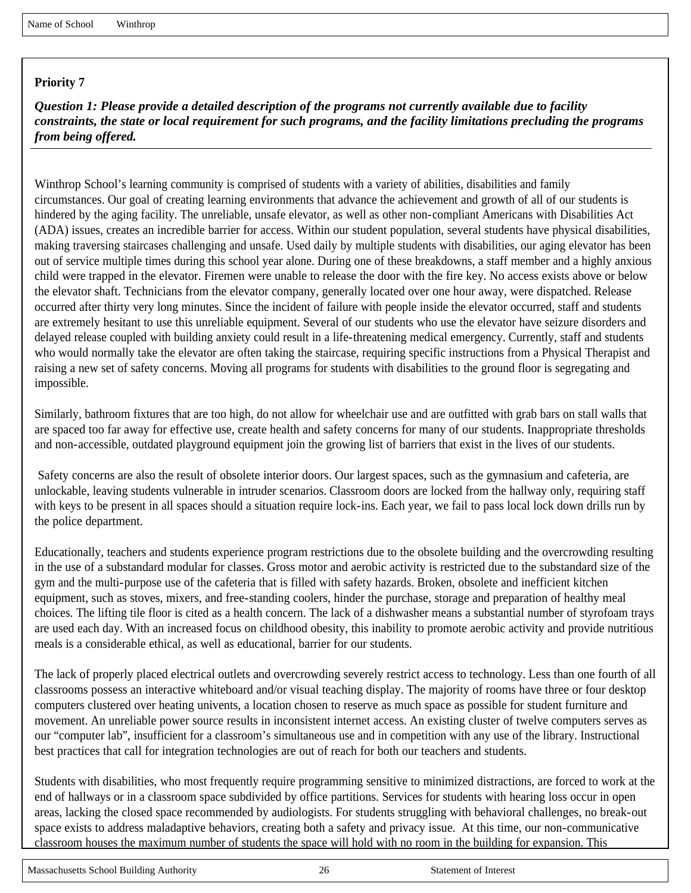*Question 1: Please provide a detailed description of the programs not currently available due to facility constraints, the state or local requirement for such programs, and the facility limitations precluding the programs from being offered.*

Winthrop School's learning community is comprised of students with a variety of abilities, disabilities and family circumstances. Our goal of creating learning environments that advance the achievement and growth of all of our students is hindered by the aging facility. The unreliable, unsafe elevator, as well as other non-compliant Americans with Disabilities Act (ADA) issues, creates an incredible barrier for access. Within our student population, several students have physical disabilities, making traversing staircases challenging and unsafe. Used daily by multiple students with disabilities, our aging elevator has been out of service multiple times during this school year alone. During one of these breakdowns, a staff member and a highly anxious child were trapped in the elevator. Firemen were unable to release the door with the fire key. No access exists above or below the elevator shaft. Technicians from the elevator company, generally located over one hour away, were dispatched. Release occurred after thirty very long minutes. Since the incident of failure with people inside the elevator occurred, staff and students are extremely hesitant to use this unreliable equipment. Several of our students who use the elevator have seizure disorders and delayed release coupled with building anxiety could result in a life-threatening medical emergency. Currently, staff and students who would normally take the elevator are often taking the staircase, requiring specific instructions from a Physical Therapist and raising a new set of safety concerns. Moving all programs for students with disabilities to the ground floor is segregating and impossible.

Similarly, bathroom fixtures that are too high, do not allow for wheelchair use and are outfitted with grab bars on stall walls that are spaced too far away for effective use, create health and safety concerns for many of our students. Inappropriate thresholds and non-accessible, outdated playground equipment join the growing list of barriers that exist in the lives of our students.

Safety concerns are also the result of obsolete interior doors. Our largest spaces, such as the gymnasium and cafeteria, are unlockable, leaving students vulnerable in intruder scenarios. Classroom doors are locked from the hallway only, requiring staff with keys to be present in all spaces should a situation require lock-ins. Each year, we fail to pass local lock down drills run by the police department.

Educationally, teachers and students experience program restrictions due to the obsolete building and the overcrowding resulting in the use of a substandard modular for classes. Gross motor and aerobic activity is restricted due to the substandard size of the gym and the multi-purpose use of the cafeteria that is filled with safety hazards. Broken, obsolete and inefficient kitchen equipment, such as stoves, mixers, and free-standing coolers, hinder the purchase, storage and preparation of healthy meal choices. The lifting tile floor is cited as a health concern. The lack of a dishwasher means a substantial number of styrofoam trays are used each day. With an increased focus on childhood obesity, this inability to promote aerobic activity and provide nutritious meals is a considerable ethical, as well as educational, barrier for our students.

The lack of properly placed electrical outlets and overcrowding severely restrict access to technology. Less than one fourth of all classrooms possess an interactive whiteboard and/or visual teaching display. The majority of rooms have three or four desktop computers clustered over heating univents, a location chosen to reserve as much space as possible for student furniture and movement. An unreliable power source results in inconsistent internet access. An existing cluster of twelve computers serves as our "computer lab", insufficient for a classroom's simultaneous use and in competition with any use of the library. Instructional best practices that call for integration technologies are out of reach for both our teachers and students.

Students with disabilities, who most frequently require programming sensitive to minimized distractions, are forced to work at the end of hallways or in a classroom space subdivided by office partitions. Services for students with hearing loss occur in open areas, lacking the closed space recommended by audiologists. For students struggling with behavioral challenges, no break-out space exists to address maladaptive behaviors, creating both a safety and privacy issue. At this time, our non-communicative classroom houses the maximum number of students the space will hold with no room in the building for expansion. This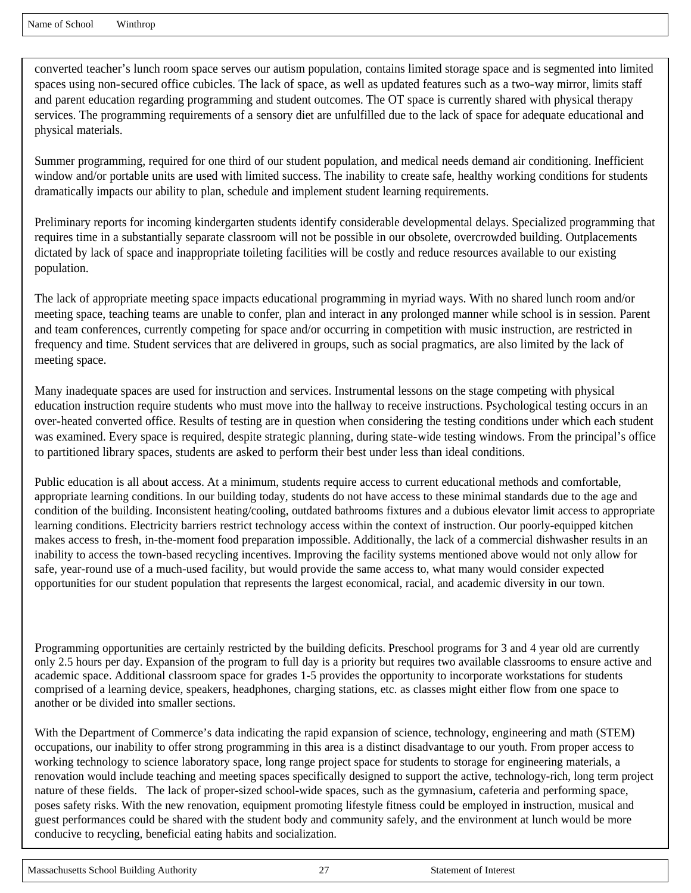converted teacher's lunch room space serves our autism population, contains limited storage space and is segmented into limited spaces using non-secured office cubicles. The lack of space, as well as updated features such as a two-way mirror, limits staff and parent education regarding programming and student outcomes. The OT space is currently shared with physical therapy services. The programming requirements of a sensory diet are unfulfilled due to the lack of space for adequate educational and physical materials.

Summer programming, required for one third of our student population, and medical needs demand air conditioning. Inefficient window and/or portable units are used with limited success. The inability to create safe, healthy working conditions for students dramatically impacts our ability to plan, schedule and implement student learning requirements.

Preliminary reports for incoming kindergarten students identify considerable developmental delays. Specialized programming that requires time in a substantially separate classroom will not be possible in our obsolete, overcrowded building. Outplacements dictated by lack of space and inappropriate toileting facilities will be costly and reduce resources available to our existing population.

The lack of appropriate meeting space impacts educational programming in myriad ways. With no shared lunch room and/or meeting space, teaching teams are unable to confer, plan and interact in any prolonged manner while school is in session. Parent and team conferences, currently competing for space and/or occurring in competition with music instruction, are restricted in frequency and time. Student services that are delivered in groups, such as social pragmatics, are also limited by the lack of meeting space.

Many inadequate spaces are used for instruction and services. Instrumental lessons on the stage competing with physical education instruction require students who must move into the hallway to receive instructions. Psychological testing occurs in an over-heated converted office. Results of testing are in question when considering the testing conditions under which each student was examined. Every space is required, despite strategic planning, during state-wide testing windows. From the principal's office to partitioned library spaces, students are asked to perform their best under less than ideal conditions.

Public education is all about access. At a minimum, students require access to current educational methods and comfortable, appropriate learning conditions. In our building today, students do not have access to these minimal standards due to the age and condition of the building. Inconsistent heating/cooling, outdated bathrooms fixtures and a dubious elevator limit access to appropriate learning conditions. Electricity barriers restrict technology access within the context of instruction. Our poorly-equipped kitchen makes access to fresh, in-the-moment food preparation impossible. Additionally, the lack of a commercial dishwasher results in an inability to access the town-based recycling incentives. Improving the facility systems mentioned above would not only allow for safe, year-round use of a much-used facility, but would provide the same access to, what many would consider expected opportunities for our student population that represents the largest economical, racial, and academic diversity in our town.

Programming opportunities are certainly restricted by the building deficits. Preschool programs for 3 and 4 year old are currently only 2.5 hours per day. Expansion of the program to full day is a priority but requires two available classrooms to ensure active and academic space. Additional classroom space for grades 1-5 provides the opportunity to incorporate workstations for students comprised of a learning device, speakers, headphones, charging stations, etc. as classes might either flow from one space to another or be divided into smaller sections.

With the Department of Commerce's data indicating the rapid expansion of science, technology, engineering and math (STEM) occupations, our inability to offer strong programming in this area is a distinct disadvantage to our youth. From proper access to working technology to science laboratory space, long range project space for students to storage for engineering materials, a renovation would include teaching and meeting spaces specifically designed to support the active, technology-rich, long term project nature of these fields. The lack of proper-sized school-wide spaces, such as the gymnasium, cafeteria and performing space, poses safety risks. With the new renovation, equipment promoting lifestyle fitness could be employed in instruction, musical and guest performances could be shared with the student body and community safely, and the environment at lunch would be more conducive to recycling, beneficial eating habits and socialization.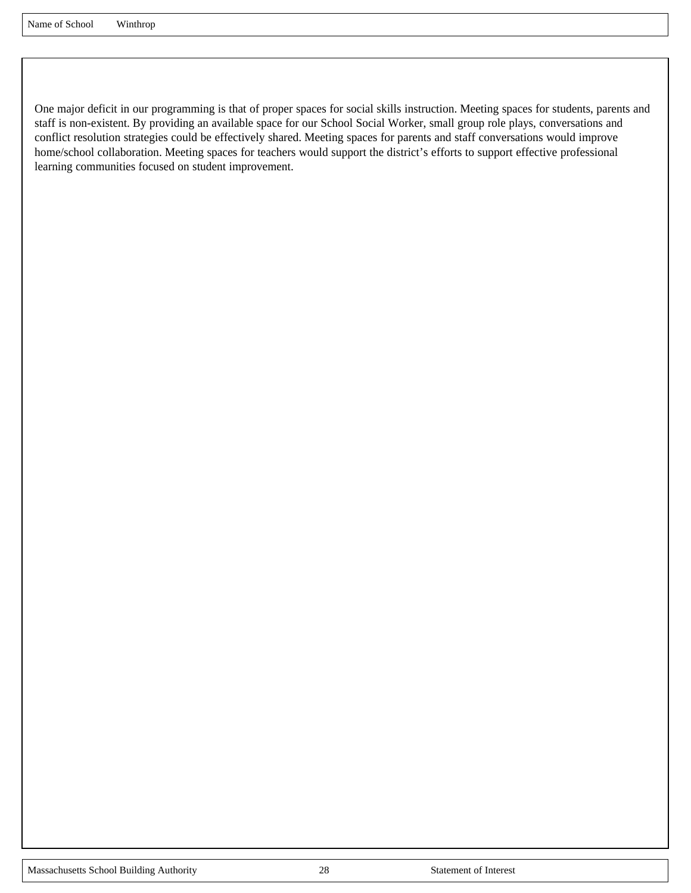One major deficit in our programming is that of proper spaces for social skills instruction. Meeting spaces for students, parents and staff is non-existent. By providing an available space for our School Social Worker, small group role plays, conversations and conflict resolution strategies could be effectively shared. Meeting spaces for parents and staff conversations would improve home/school collaboration. Meeting spaces for teachers would support the district's efforts to support effective professional learning communities focused on student improvement.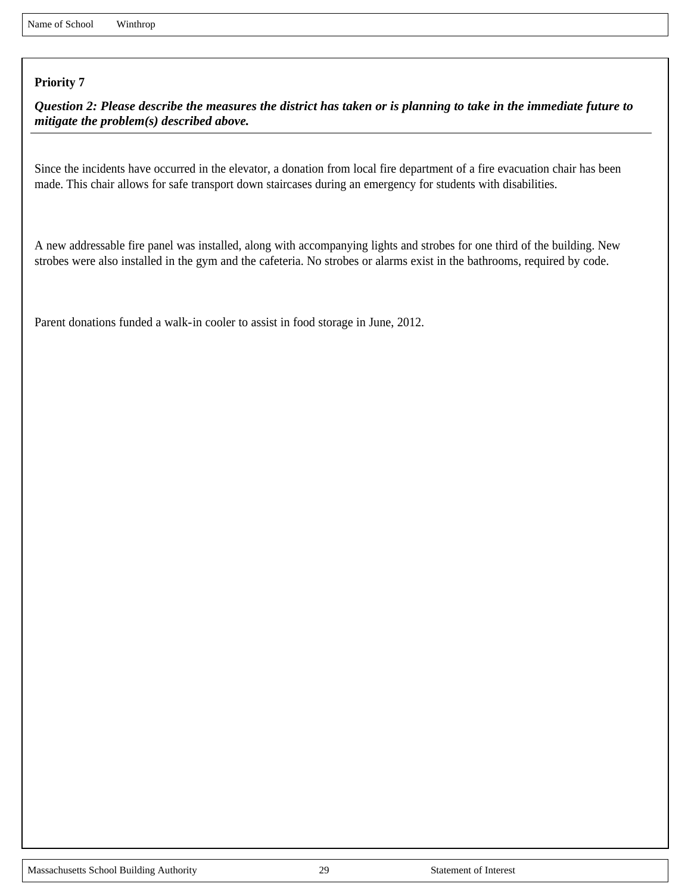*Question 2: Please describe the measures the district has taken or is planning to take in the immediate future to mitigate the problem(s) described above.*

Since the incidents have occurred in the elevator, a donation from local fire department of a fire evacuation chair has been made. This chair allows for safe transport down staircases during an emergency for students with disabilities.

A new addressable fire panel was installed, along with accompanying lights and strobes for one third of the building. New strobes were also installed in the gym and the cafeteria. No strobes or alarms exist in the bathrooms, required by code.

Parent donations funded a walk-in cooler to assist in food storage in June, 2012.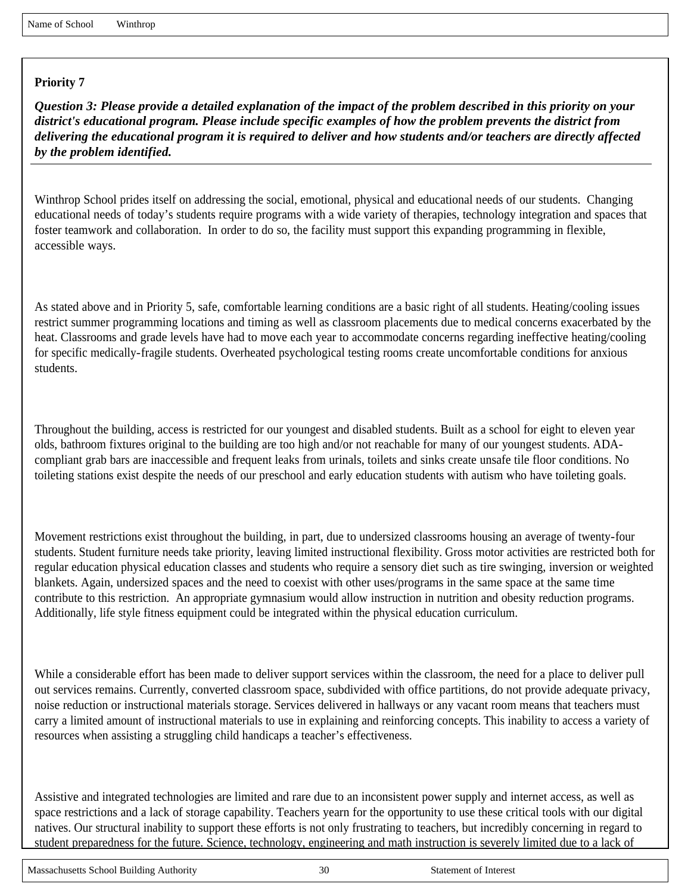*Question 3: Please provide a detailed explanation of the impact of the problem described in this priority on your district's educational program. Please include specific examples of how the problem prevents the district from delivering the educational program it is required to deliver and how students and/or teachers are directly affected by the problem identified.*

Winthrop School prides itself on addressing the social, emotional, physical and educational needs of our students. Changing educational needs of today's students require programs with a wide variety of therapies, technology integration and spaces that foster teamwork and collaboration. In order to do so, the facility must support this expanding programming in flexible, accessible ways.

As stated above and in Priority 5, safe, comfortable learning conditions are a basic right of all students. Heating/cooling issues restrict summer programming locations and timing as well as classroom placements due to medical concerns exacerbated by the heat. Classrooms and grade levels have had to move each year to accommodate concerns regarding ineffective heating/cooling for specific medically-fragile students. Overheated psychological testing rooms create uncomfortable conditions for anxious students.

Throughout the building, access is restricted for our youngest and disabled students. Built as a school for eight to eleven year olds, bathroom fixtures original to the building are too high and/or not reachable for many of our youngest students. ADAcompliant grab bars are inaccessible and frequent leaks from urinals, toilets and sinks create unsafe tile floor conditions. No toileting stations exist despite the needs of our preschool and early education students with autism who have toileting goals.

Movement restrictions exist throughout the building, in part, due to undersized classrooms housing an average of twenty-four students. Student furniture needs take priority, leaving limited instructional flexibility. Gross motor activities are restricted both for regular education physical education classes and students who require a sensory diet such as tire swinging, inversion or weighted blankets. Again, undersized spaces and the need to coexist with other uses/programs in the same space at the same time contribute to this restriction. An appropriate gymnasium would allow instruction in nutrition and obesity reduction programs. Additionally, life style fitness equipment could be integrated within the physical education curriculum.

While a considerable effort has been made to deliver support services within the classroom, the need for a place to deliver pull out services remains. Currently, converted classroom space, subdivided with office partitions, do not provide adequate privacy, noise reduction or instructional materials storage. Services delivered in hallways or any vacant room means that teachers must carry a limited amount of instructional materials to use in explaining and reinforcing concepts. This inability to access a variety of resources when assisting a struggling child handicaps a teacher's effectiveness.

Assistive and integrated technologies are limited and rare due to an inconsistent power supply and internet access, as well as space restrictions and a lack of storage capability. Teachers yearn for the opportunity to use these critical tools with our digital natives. Our structural inability to support these efforts is not only frustrating to teachers, but incredibly concerning in regard to student preparedness for the future. Science, technology, engineering and math instruction is severely limited due to a lack of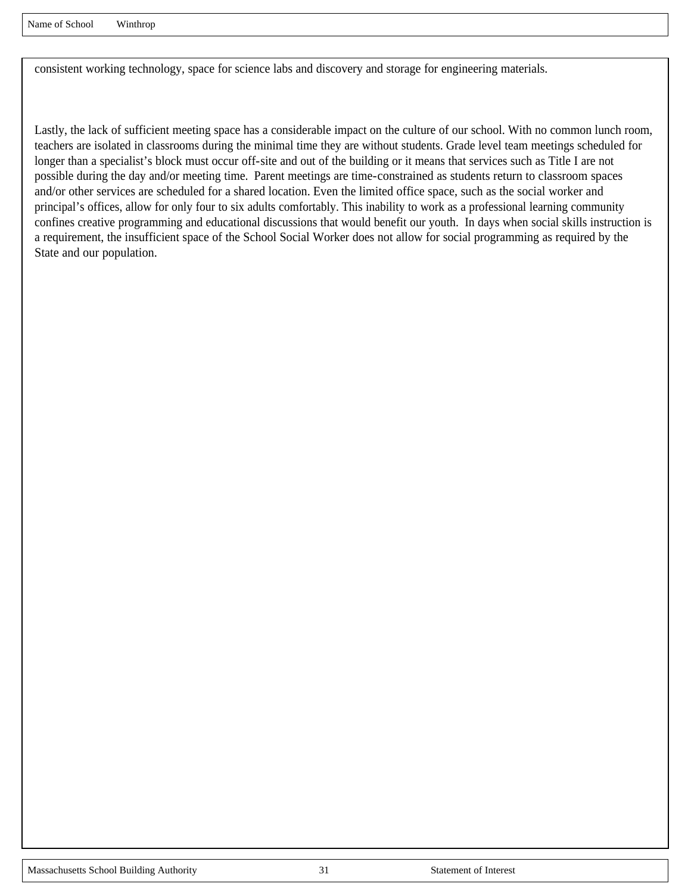consistent working technology, space for science labs and discovery and storage for engineering materials.

Lastly, the lack of sufficient meeting space has a considerable impact on the culture of our school. With no common lunch room, teachers are isolated in classrooms during the minimal time they are without students. Grade level team meetings scheduled for longer than a specialist's block must occur off-site and out of the building or it means that services such as Title I are not possible during the day and/or meeting time. Parent meetings are time-constrained as students return to classroom spaces and/or other services are scheduled for a shared location. Even the limited office space, such as the social worker and principal's offices, allow for only four to six adults comfortably. This inability to work as a professional learning community confines creative programming and educational discussions that would benefit our youth. In days when social skills instruction is a requirement, the insufficient space of the School Social Worker does not allow for social programming as required by the State and our population.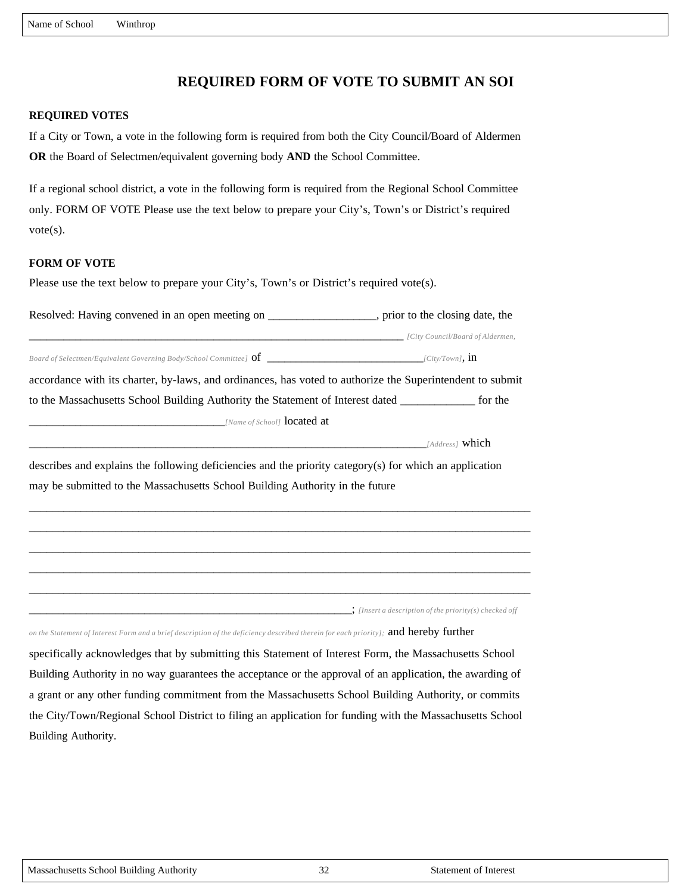# **REQUIRED FORM OF VOTE TO SUBMIT AN SOI**

#### **REQUIRED VOTES**

If a City or Town, a vote in the following form is required from both the City Council/Board of Aldermen **OR** the Board of Selectmen/equivalent governing body **AND** the School Committee.

If a regional school district, a vote in the following form is required from the Regional School Committee only. FORM OF VOTE Please use the text below to prepare your City's, Town's or District's required vote(s).

#### **FORM OF VOTE**

Please use the text below to prepare your City's, Town's or District's required vote(s).

| Resolved: Having convened in an open meeting on _________________, prior to the closing date, the                                    |  |
|--------------------------------------------------------------------------------------------------------------------------------------|--|
| [City Council/Board of Aldermen, 1999] [City Council/Board of Aldermen,                                                              |  |
|                                                                                                                                      |  |
| accordance with its charter, by-laws, and ordinances, has voted to authorize the Superintendent to submit                            |  |
| to the Massachusetts School Building Authority the Statement of Interest dated ______________ for the                                |  |
|                                                                                                                                      |  |
| $[Address]$ which                                                                                                                    |  |
| describes and explains the following deficiencies and the priority category(s) for which an application                              |  |
| may be submitted to the Massachusetts School Building Authority in the future                                                        |  |
|                                                                                                                                      |  |
|                                                                                                                                      |  |
|                                                                                                                                      |  |
|                                                                                                                                      |  |
|                                                                                                                                      |  |
| $\therefore$ [Insert a description of the priority(s) checked off                                                                    |  |
| on the Statement of Interest Form and a brief description of the deficiency described therein for each priority]; and hereby further |  |

specifically acknowledges that by submitting this Statement of Interest Form, the Massachusetts School Building Authority in no way guarantees the acceptance or the approval of an application, the awarding of a grant or any other funding commitment from the Massachusetts School Building Authority, or commits the City/Town/Regional School District to filing an application for funding with the Massachusetts School Building Authority.